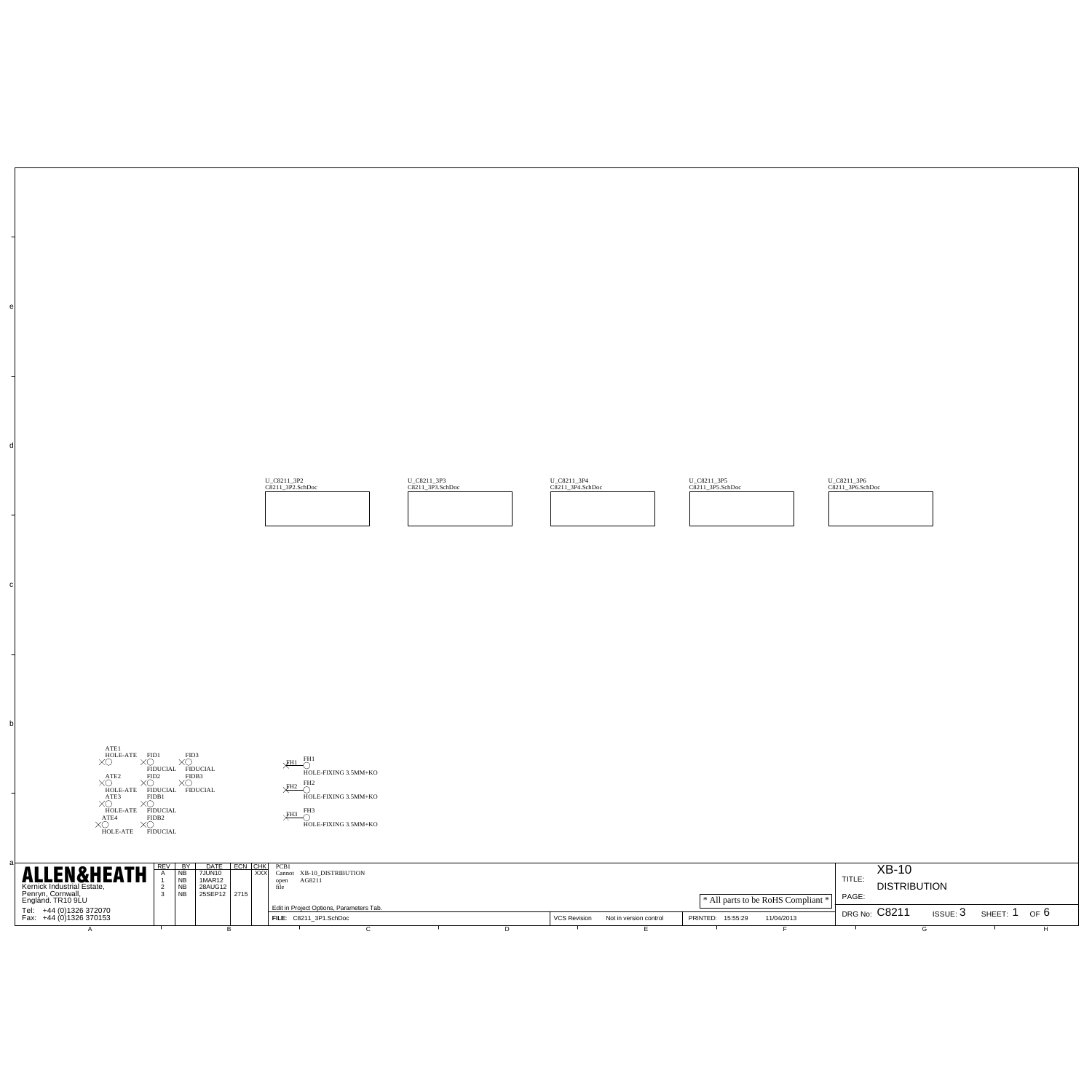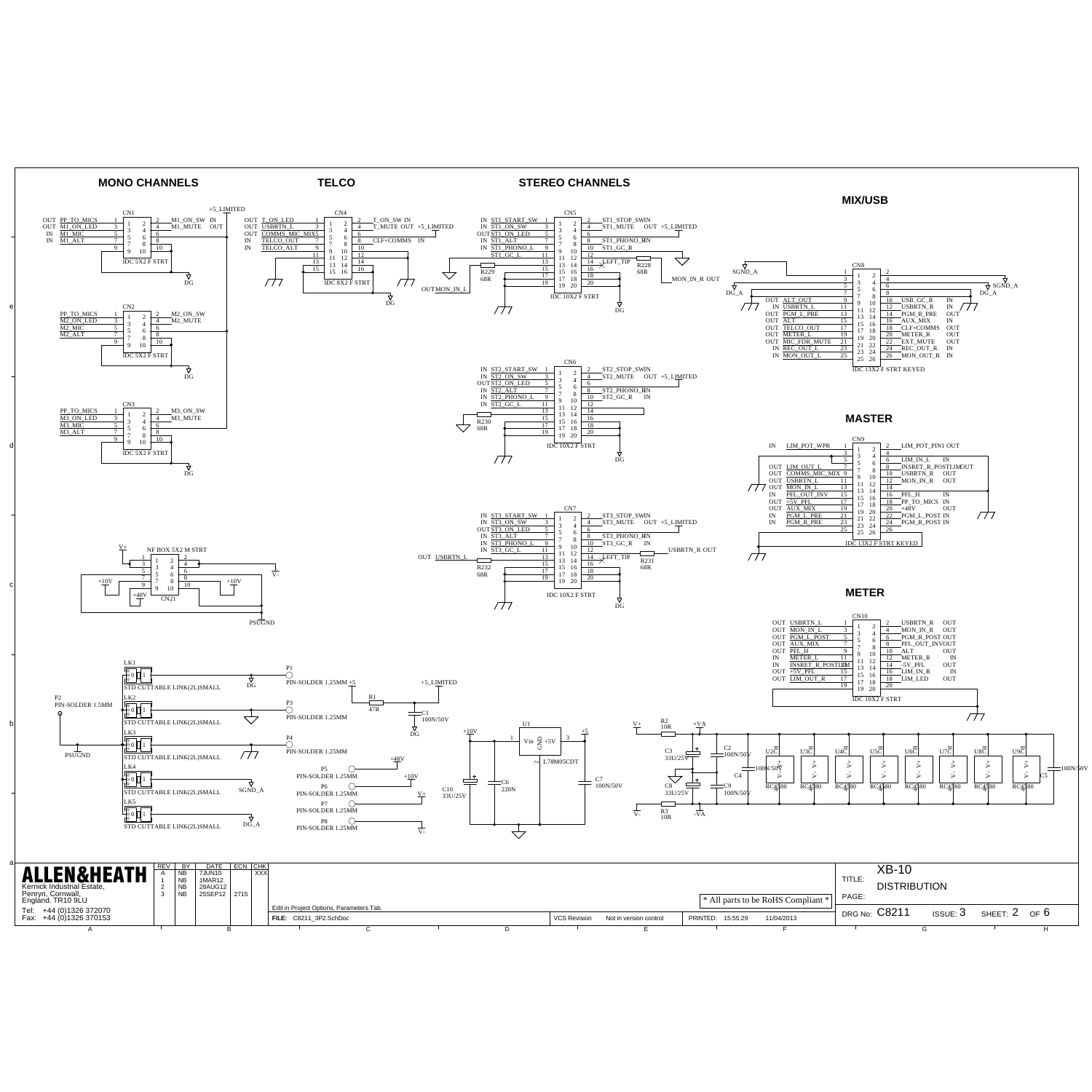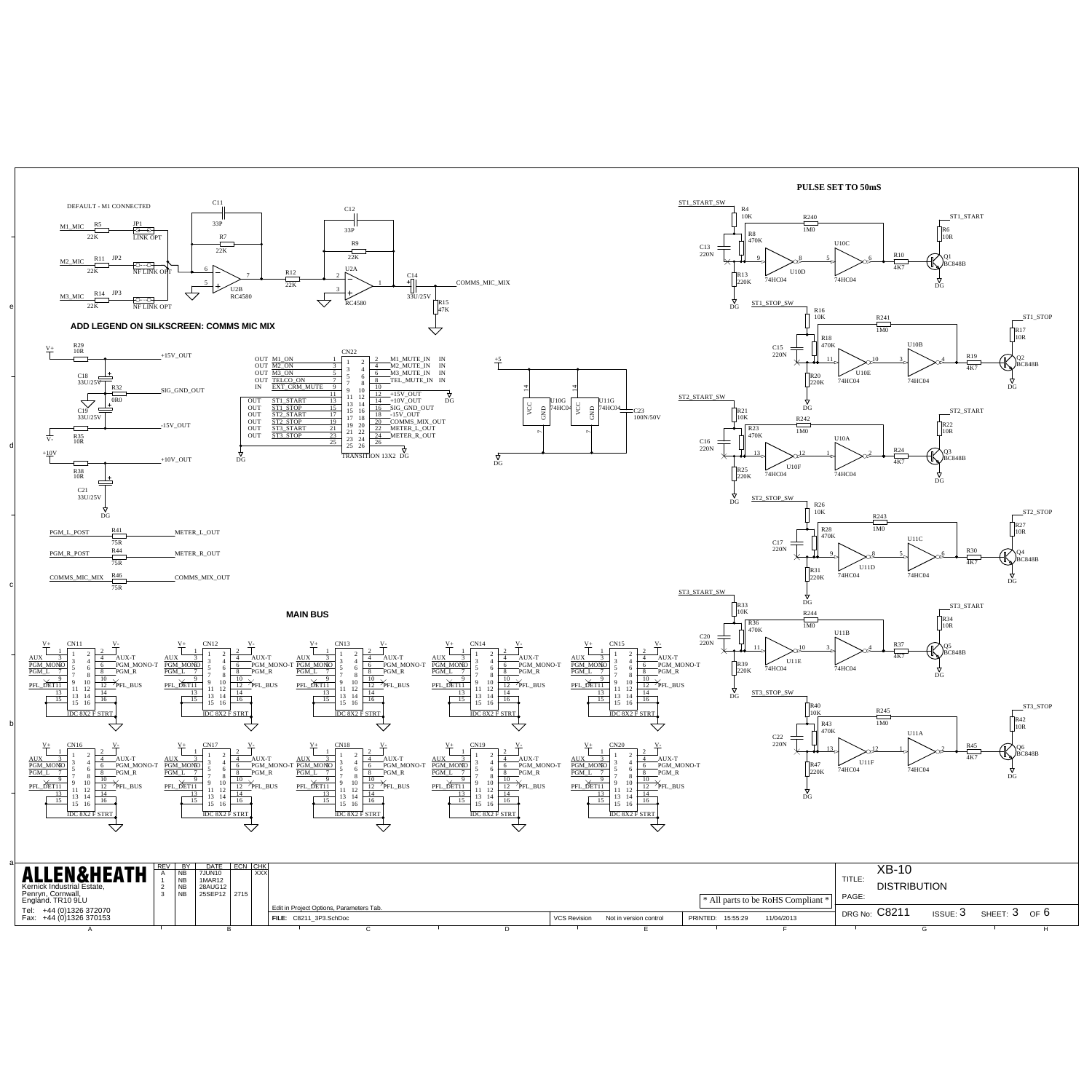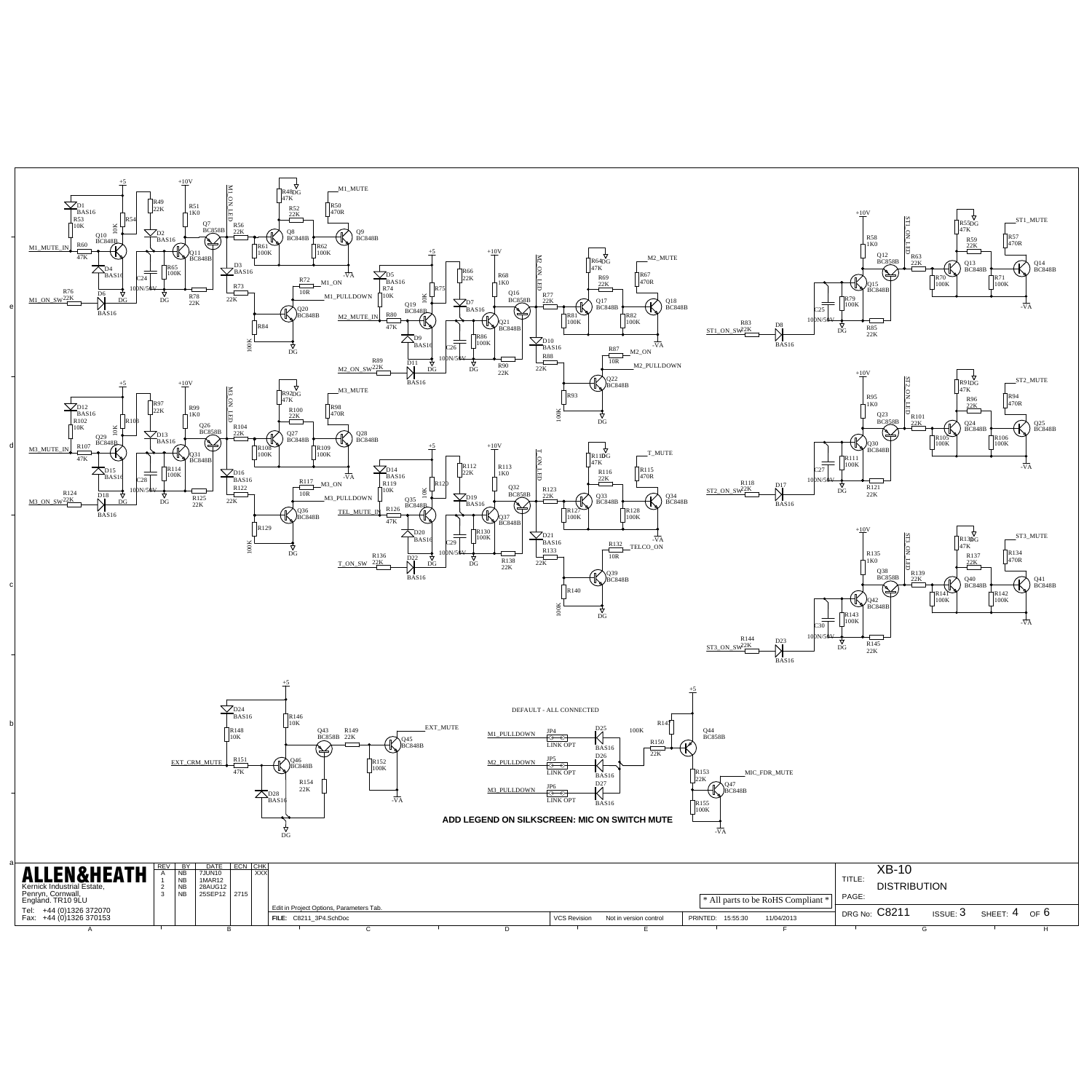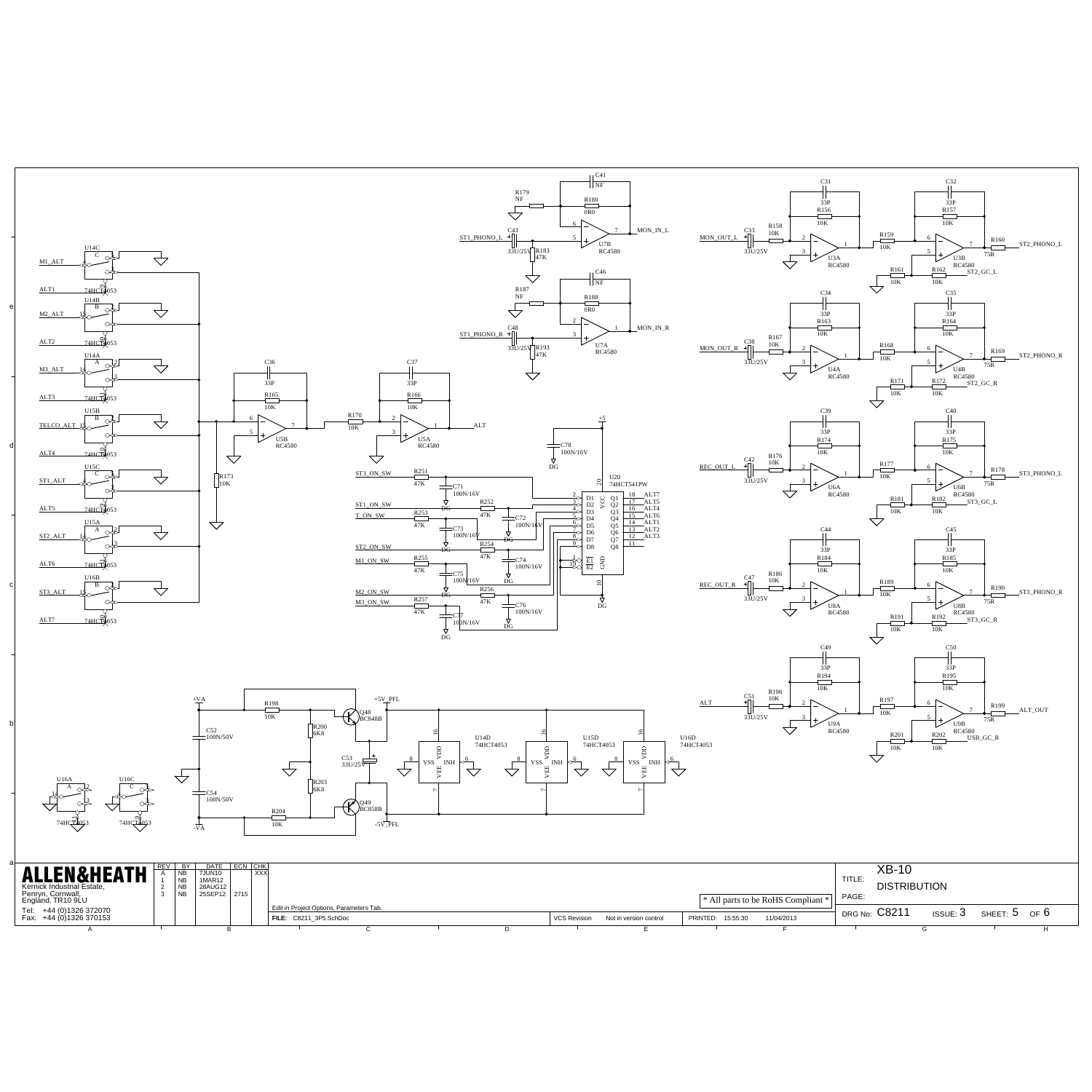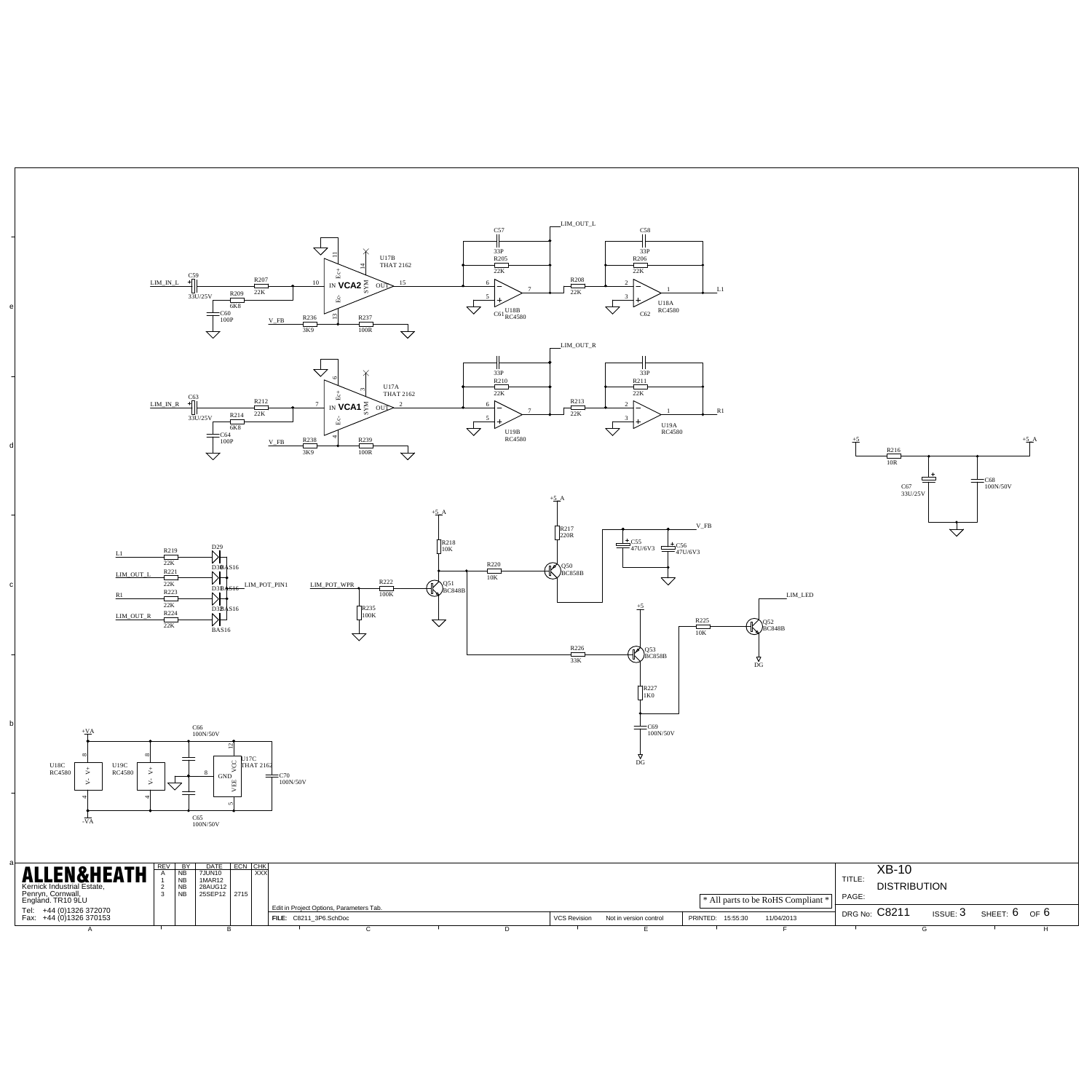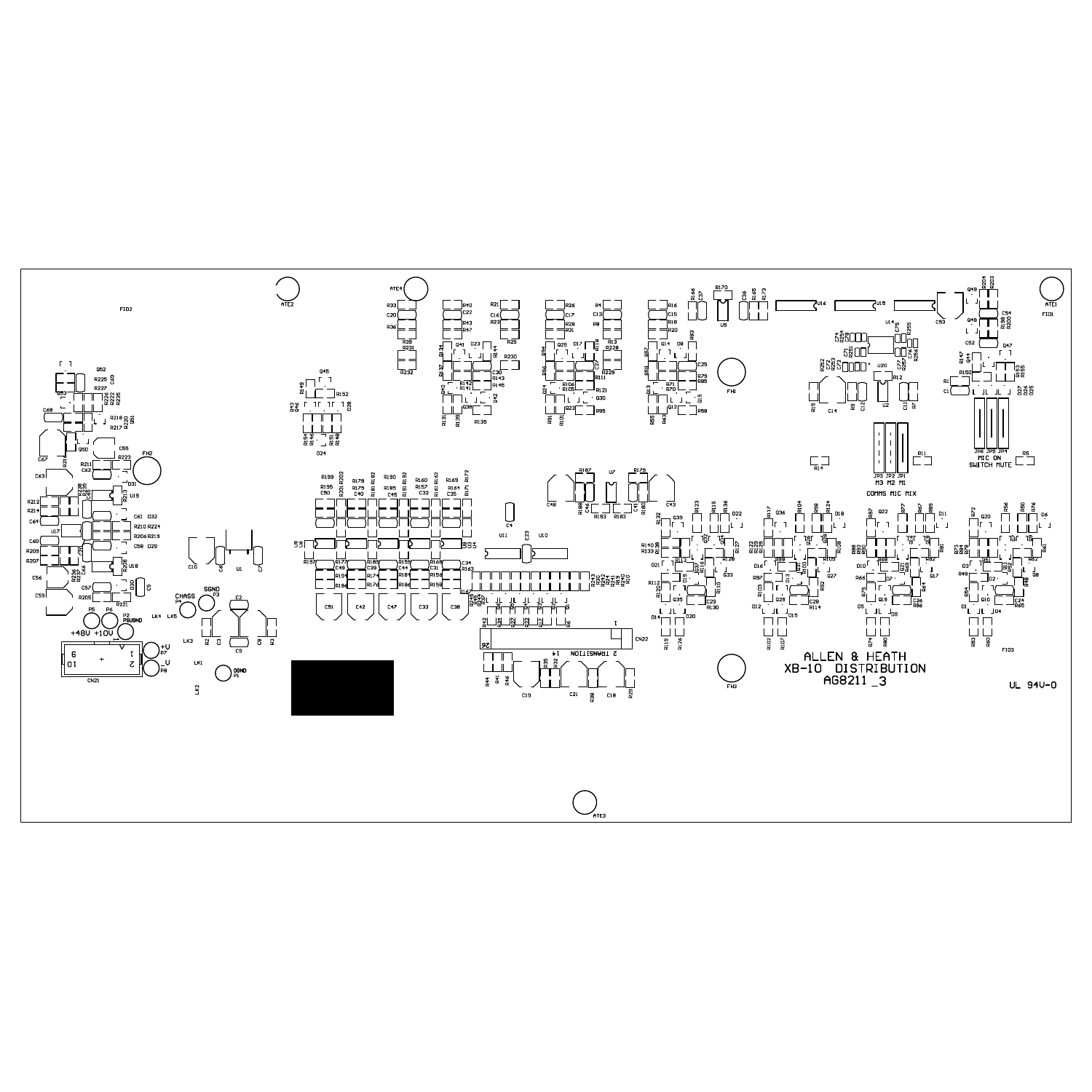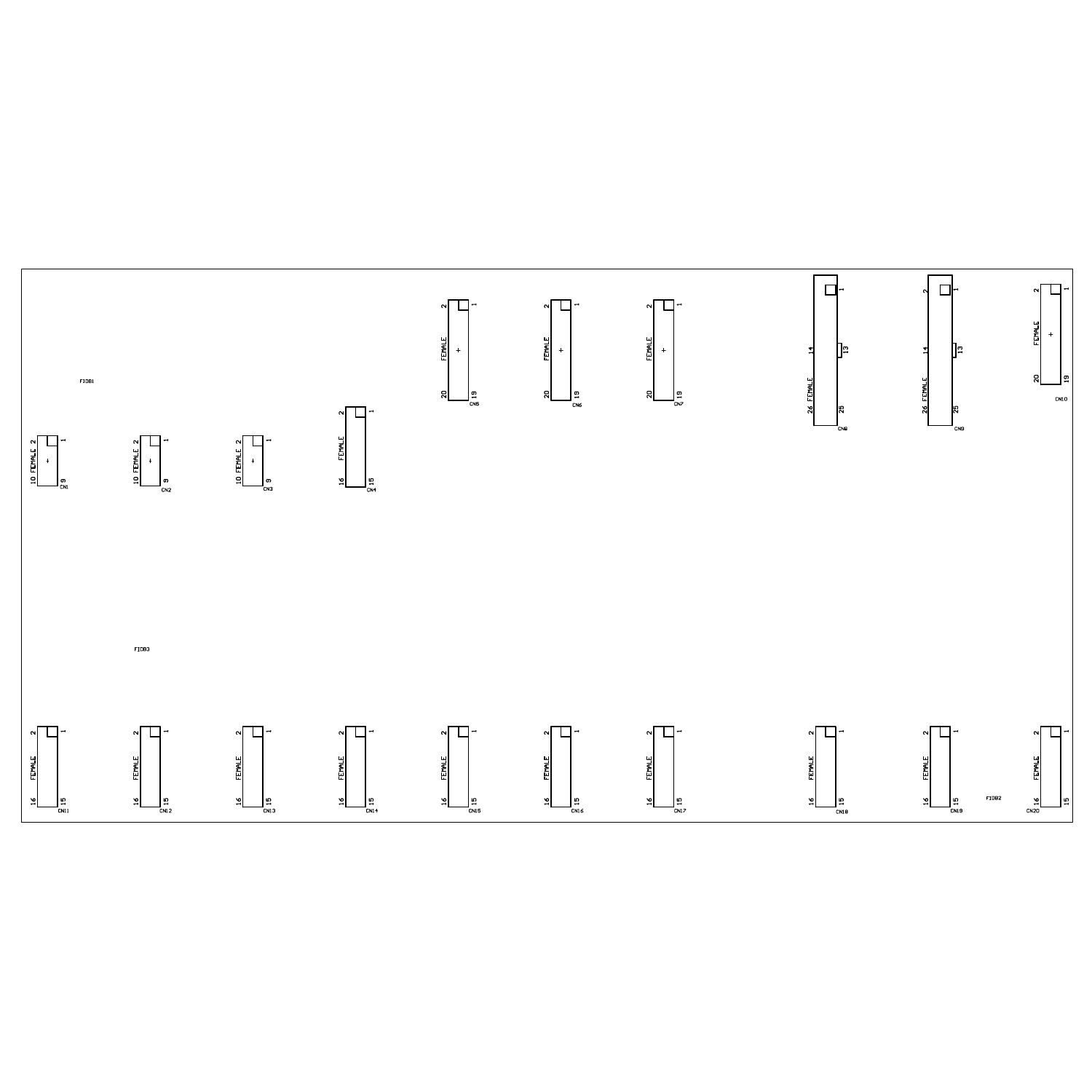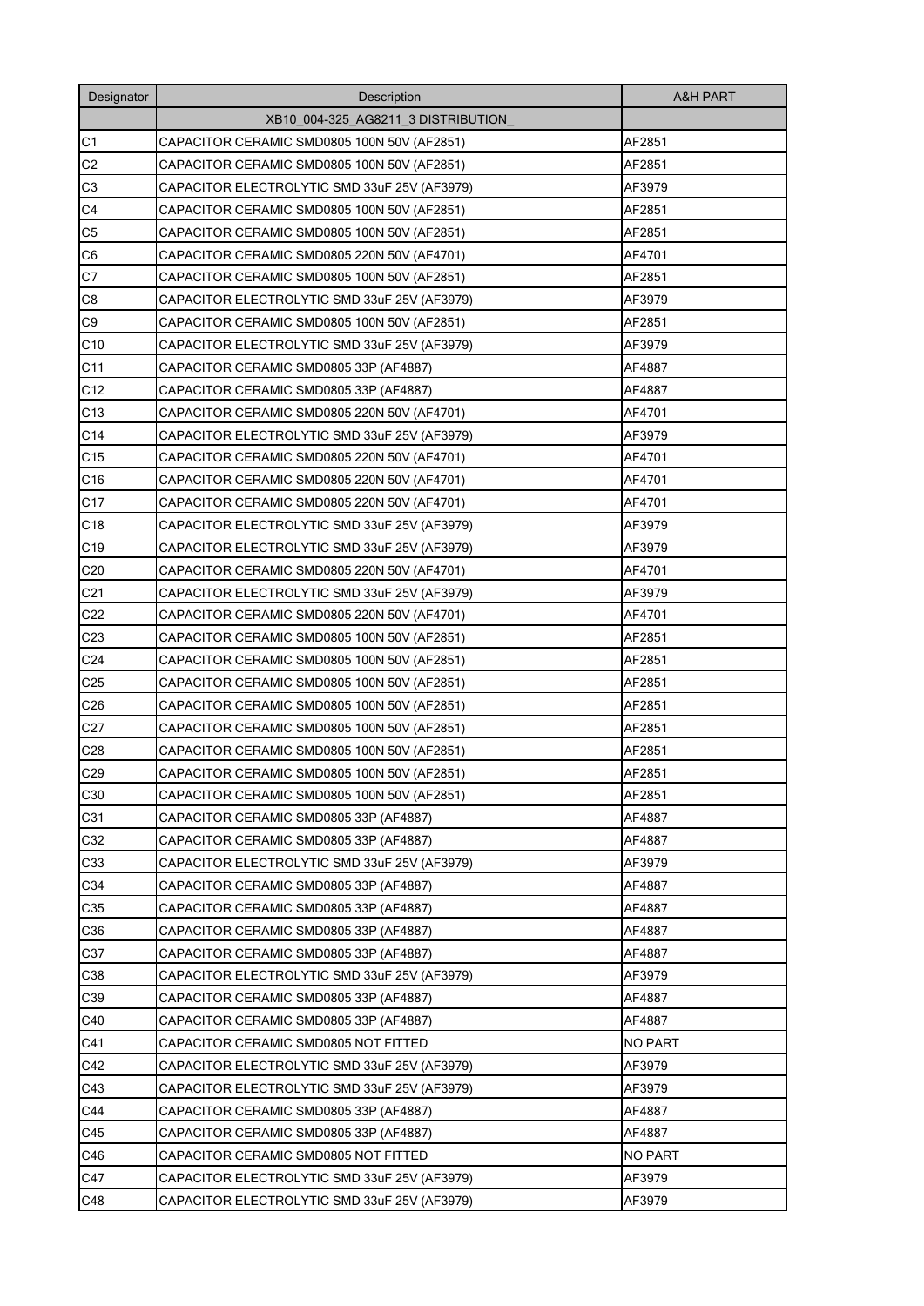| Designator      | Description                                  | <b>A&amp;H PART</b> |
|-----------------|----------------------------------------------|---------------------|
|                 | XB10 004-325 AG8211 3 DISTRIBUTION           |                     |
| C <sub>1</sub>  | CAPACITOR CERAMIC SMD0805 100N 50V (AF2851)  | AF2851              |
| C <sub>2</sub>  | CAPACITOR CERAMIC SMD0805 100N 50V (AF2851)  | AF2851              |
| C <sub>3</sub>  | CAPACITOR ELECTROLYTIC SMD 33uF 25V (AF3979) | AF3979              |
| C <sub>4</sub>  | CAPACITOR CERAMIC SMD0805 100N 50V (AF2851)  | AF2851              |
| C <sub>5</sub>  | CAPACITOR CERAMIC SMD0805 100N 50V (AF2851)  | AF2851              |
| C <sub>6</sub>  | CAPACITOR CERAMIC SMD0805 220N 50V (AF4701)  | AF4701              |
| C7              | CAPACITOR CERAMIC SMD0805 100N 50V (AF2851)  | AF2851              |
| C8              | CAPACITOR ELECTROLYTIC SMD 33uF 25V (AF3979) | AF3979              |
| C <sub>9</sub>  | CAPACITOR CERAMIC SMD0805 100N 50V (AF2851)  | AF2851              |
| C10             | CAPACITOR ELECTROLYTIC SMD 33uF 25V (AF3979) | AF3979              |
| C11             | CAPACITOR CERAMIC SMD0805 33P (AF4887)       | AF4887              |
| C12             | CAPACITOR CERAMIC SMD0805 33P (AF4887)       | AF4887              |
| C <sub>13</sub> | CAPACITOR CERAMIC SMD0805 220N 50V (AF4701)  | AF4701              |
| C14             | CAPACITOR ELECTROLYTIC SMD 33uF 25V (AF3979) | AF3979              |
| C <sub>15</sub> | CAPACITOR CERAMIC SMD0805 220N 50V (AF4701)  | AF4701              |
| C16             | CAPACITOR CERAMIC SMD0805 220N 50V (AF4701)  | AF4701              |
| C <sub>17</sub> | CAPACITOR CERAMIC SMD0805 220N 50V (AF4701)  | AF4701              |
| C <sub>18</sub> | CAPACITOR ELECTROLYTIC SMD 33uF 25V (AF3979) | AF3979              |
| C <sub>19</sub> | CAPACITOR ELECTROLYTIC SMD 33uF 25V (AF3979) | AF3979              |
| C <sub>20</sub> | CAPACITOR CERAMIC SMD0805 220N 50V (AF4701)  | AF4701              |
| C <sub>21</sub> | CAPACITOR ELECTROLYTIC SMD 33uF 25V (AF3979) | AF3979              |
| C <sub>22</sub> | CAPACITOR CERAMIC SMD0805 220N 50V (AF4701)  | AF4701              |
| C <sub>23</sub> | CAPACITOR CERAMIC SMD0805 100N 50V (AF2851)  | AF2851              |
| C <sub>24</sub> | CAPACITOR CERAMIC SMD0805 100N 50V (AF2851)  | AF2851              |
| C <sub>25</sub> | CAPACITOR CERAMIC SMD0805 100N 50V (AF2851)  | AF2851              |
| C <sub>26</sub> | CAPACITOR CERAMIC SMD0805 100N 50V (AF2851)  | AF2851              |
| C <sub>27</sub> | CAPACITOR CERAMIC SMD0805 100N 50V (AF2851)  | AF2851              |
| C <sub>28</sub> | CAPACITOR CERAMIC SMD0805 100N 50V (AF2851)  | AF2851              |
| C <sub>29</sub> | CAPACITOR CERAMIC SMD0805 100N 50V (AF2851)  | AF2851              |
| C30             | CAPACITOR CERAMIC SMD0805 100N 50V (AF2851)  | AF2851              |
| C31             | CAPACITOR CERAMIC SMD0805 33P (AF4887)       | AF4887              |
| C32             | CAPACITOR CERAMIC SMD0805 33P (AF4887)       | AF4887              |
| C33             | CAPACITOR ELECTROLYTIC SMD 33uF 25V (AF3979) | AF3979              |
| C34             | CAPACITOR CERAMIC SMD0805 33P (AF4887)       | AF4887              |
| C35             | CAPACITOR CERAMIC SMD0805 33P (AF4887)       | AF4887              |
| C36             | CAPACITOR CERAMIC SMD0805 33P (AF4887)       | AF4887              |
| C37             | CAPACITOR CERAMIC SMD0805 33P (AF4887)       | AF4887              |
| C38             | CAPACITOR ELECTROLYTIC SMD 33uF 25V (AF3979) | AF3979              |
| C39             | CAPACITOR CERAMIC SMD0805 33P (AF4887)       | AF4887              |
| C40             | CAPACITOR CERAMIC SMD0805 33P (AF4887)       | AF4887              |
| C41             | CAPACITOR CERAMIC SMD0805 NOT FITTED         | <b>NO PART</b>      |
| C42             | CAPACITOR ELECTROLYTIC SMD 33uF 25V (AF3979) | AF3979              |
| C43             | CAPACITOR ELECTROLYTIC SMD 33uF 25V (AF3979) | AF3979              |
| C44             | CAPACITOR CERAMIC SMD0805 33P (AF4887)       | AF4887              |
| C45             | CAPACITOR CERAMIC SMD0805 33P (AF4887)       | AF4887              |
| C46             | CAPACITOR CERAMIC SMD0805 NOT FITTED         | <b>NO PART</b>      |
| C47             | CAPACITOR ELECTROLYTIC SMD 33uF 25V (AF3979) | AF3979              |
| C48             | CAPACITOR ELECTROLYTIC SMD 33uF 25V (AF3979) | AF3979              |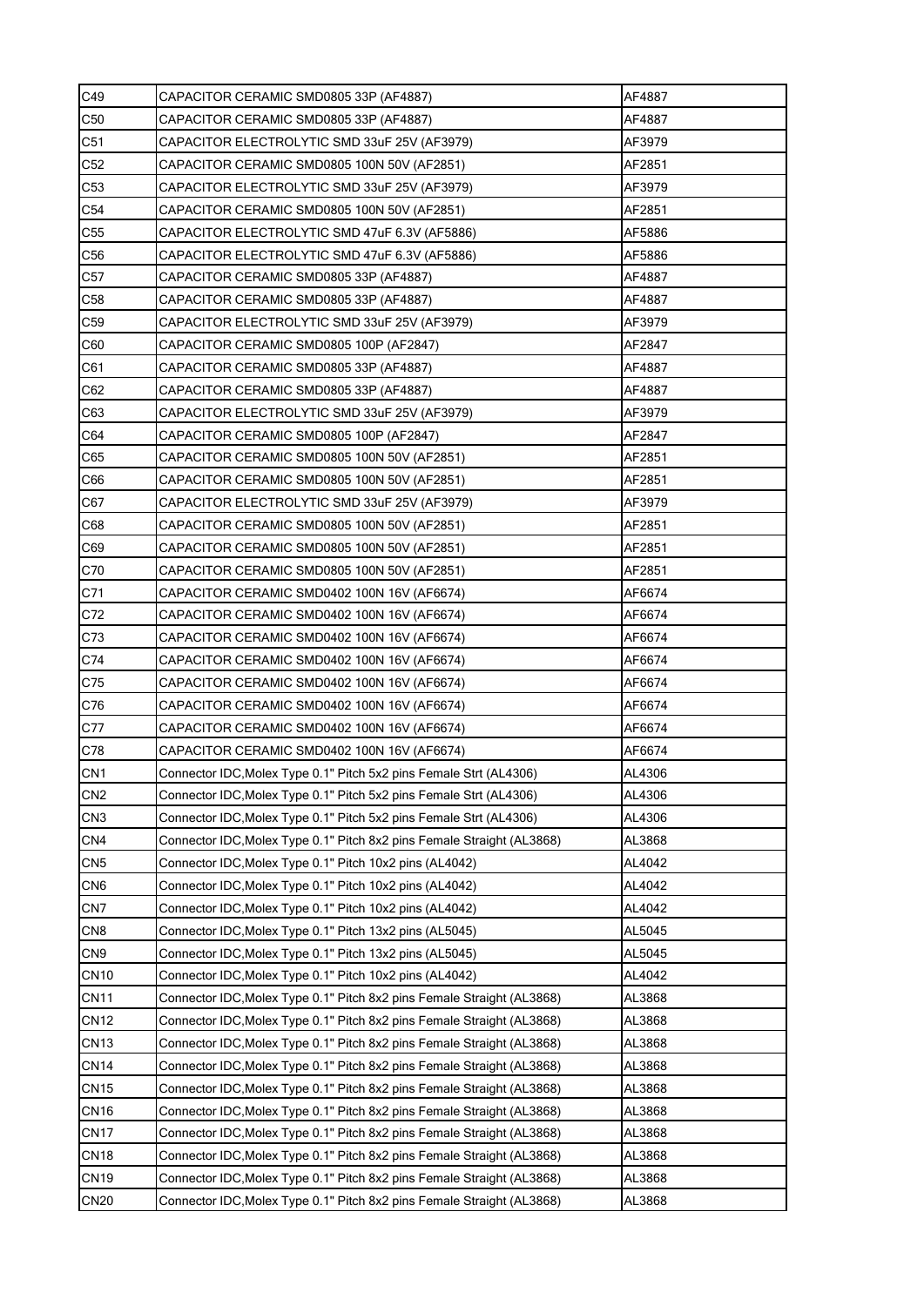| C49             | CAPACITOR CERAMIC SMD0805 33P (AF4887)                                 | AF4887 |
|-----------------|------------------------------------------------------------------------|--------|
| C <sub>50</sub> | CAPACITOR CERAMIC SMD0805 33P (AF4887)                                 | AF4887 |
| C51             | CAPACITOR ELECTROLYTIC SMD 33uF 25V (AF3979)                           | AF3979 |
| C52             | CAPACITOR CERAMIC SMD0805 100N 50V (AF2851)                            | AF2851 |
| C <sub>53</sub> | CAPACITOR ELECTROLYTIC SMD 33uF 25V (AF3979)                           | AF3979 |
| C <sub>54</sub> | CAPACITOR CERAMIC SMD0805 100N 50V (AF2851)                            | AF2851 |
| C <sub>55</sub> | CAPACITOR ELECTROLYTIC SMD 47uF 6.3V (AF5886)                          | AF5886 |
| C56             | CAPACITOR ELECTROLYTIC SMD 47uF 6.3V (AF5886)                          | AF5886 |
| C <sub>57</sub> | CAPACITOR CERAMIC SMD0805 33P (AF4887)                                 | AF4887 |
| C58             | CAPACITOR CERAMIC SMD0805 33P (AF4887)                                 | AF4887 |
| C <sub>59</sub> | CAPACITOR ELECTROLYTIC SMD 33uF 25V (AF3979)                           | AF3979 |
| C60             | CAPACITOR CERAMIC SMD0805 100P (AF2847)                                | AF2847 |
| C61             | CAPACITOR CERAMIC SMD0805 33P (AF4887)                                 | AF4887 |
| C62             | CAPACITOR CERAMIC SMD0805 33P (AF4887)                                 | AF4887 |
| C63             | CAPACITOR ELECTROLYTIC SMD 33uF 25V (AF3979)                           | AF3979 |
| C64             | CAPACITOR CERAMIC SMD0805 100P (AF2847)                                | AF2847 |
| C65             | CAPACITOR CERAMIC SMD0805 100N 50V (AF2851)                            | AF2851 |
| C66             | CAPACITOR CERAMIC SMD0805 100N 50V (AF2851)                            | AF2851 |
| C67             | CAPACITOR ELECTROLYTIC SMD 33uF 25V (AF3979)                           | AF3979 |
| C68             | CAPACITOR CERAMIC SMD0805 100N 50V (AF2851)                            | AF2851 |
| C69             | CAPACITOR CERAMIC SMD0805 100N 50V (AF2851)                            | AF2851 |
| C70             | CAPACITOR CERAMIC SMD0805 100N 50V (AF2851)                            | AF2851 |
| C71             | CAPACITOR CERAMIC SMD0402 100N 16V (AF6674)                            | AF6674 |
| C72             | CAPACITOR CERAMIC SMD0402 100N 16V (AF6674)                            | AF6674 |
| C73             | CAPACITOR CERAMIC SMD0402 100N 16V (AF6674)                            | AF6674 |
| C74             | CAPACITOR CERAMIC SMD0402 100N 16V (AF6674)                            | AF6674 |
| C75             | CAPACITOR CERAMIC SMD0402 100N 16V (AF6674)                            | AF6674 |
| C76             | CAPACITOR CERAMIC SMD0402 100N 16V (AF6674)                            | AF6674 |
| C77             | CAPACITOR CERAMIC SMD0402 100N 16V (AF6674)                            | AF6674 |
| C78             | CAPACITOR CERAMIC SMD0402 100N 16V (AF6674)                            | AF6674 |
| CN <sub>1</sub> | Connector IDC, Molex Type 0.1" Pitch 5x2 pins Female Strt (AL4306)     | AL4306 |
| CN <sub>2</sub> | Connector IDC, Molex Type 0.1" Pitch 5x2 pins Female Strt (AL4306)     | AL4306 |
| CN <sub>3</sub> | Connector IDC, Molex Type 0.1" Pitch 5x2 pins Female Strt (AL4306)     | AL4306 |
| CN4             | Connector IDC, Molex Type 0.1" Pitch 8x2 pins Female Straight (AL3868) | AL3868 |
| CN <sub>5</sub> | Connector IDC, Molex Type 0.1" Pitch 10x2 pins (AL4042)                | AL4042 |
| CN <sub>6</sub> | Connector IDC, Molex Type 0.1" Pitch 10x2 pins (AL4042)                | AL4042 |
| CN7             | Connector IDC, Molex Type 0.1" Pitch 10x2 pins (AL4042)                | AL4042 |
| CN <sub>8</sub> | Connector IDC, Molex Type 0.1" Pitch 13x2 pins (AL5045)                | AL5045 |
| CN <sub>9</sub> | Connector IDC, Molex Type 0.1" Pitch 13x2 pins (AL5045)                | AL5045 |
| <b>CN10</b>     | Connector IDC, Molex Type 0.1" Pitch 10x2 pins (AL4042)                | AL4042 |
| <b>CN11</b>     | Connector IDC, Molex Type 0.1" Pitch 8x2 pins Female Straight (AL3868) | AL3868 |
| <b>CN12</b>     | Connector IDC, Molex Type 0.1" Pitch 8x2 pins Female Straight (AL3868) | AL3868 |
| <b>CN13</b>     | Connector IDC, Molex Type 0.1" Pitch 8x2 pins Female Straight (AL3868) | AL3868 |
| <b>CN14</b>     | Connector IDC, Molex Type 0.1" Pitch 8x2 pins Female Straight (AL3868) | AL3868 |
| <b>CN15</b>     | Connector IDC, Molex Type 0.1" Pitch 8x2 pins Female Straight (AL3868) | AL3868 |
| <b>CN16</b>     | Connector IDC, Molex Type 0.1" Pitch 8x2 pins Female Straight (AL3868) | AL3868 |
| <b>CN17</b>     | Connector IDC, Molex Type 0.1" Pitch 8x2 pins Female Straight (AL3868) | AL3868 |
| <b>CN18</b>     | Connector IDC, Molex Type 0.1" Pitch 8x2 pins Female Straight (AL3868) | AL3868 |
| <b>CN19</b>     | Connector IDC, Molex Type 0.1" Pitch 8x2 pins Female Straight (AL3868) | AL3868 |
| <b>CN20</b>     | Connector IDC, Molex Type 0.1" Pitch 8x2 pins Female Straight (AL3868) | AL3868 |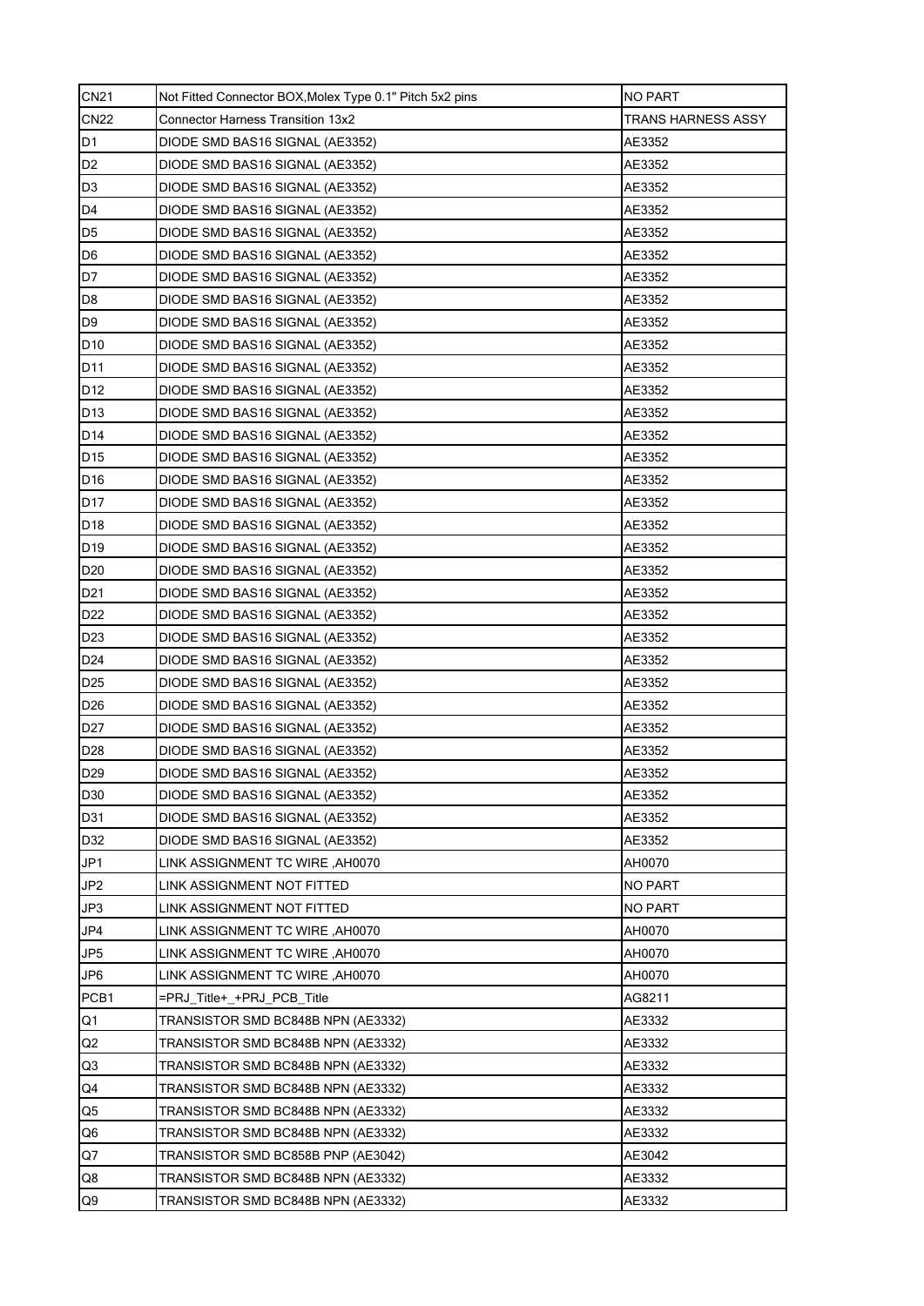| <b>CN21</b>     | Not Fitted Connector BOX, Molex Type 0.1" Pitch 5x2 pins | <b>NO PART</b>     |
|-----------------|----------------------------------------------------------|--------------------|
| <b>CN22</b>     | <b>Connector Harness Transition 13x2</b>                 | TRANS HARNESS ASSY |
| D <sub>1</sub>  | DIODE SMD BAS16 SIGNAL (AE3352)                          | AE3352             |
| D <sub>2</sub>  | DIODE SMD BAS16 SIGNAL (AE3352)                          | AE3352             |
| D <sub>3</sub>  | DIODE SMD BAS16 SIGNAL (AE3352)                          | AE3352             |
| D <sub>4</sub>  | DIODE SMD BAS16 SIGNAL (AE3352)                          | AE3352             |
| D <sub>5</sub>  | DIODE SMD BAS16 SIGNAL (AE3352)                          | AE3352             |
| D <sub>6</sub>  | DIODE SMD BAS16 SIGNAL (AE3352)                          | AE3352             |
| D <sub>7</sub>  | DIODE SMD BAS16 SIGNAL (AE3352)                          | AE3352             |
| D <sub>8</sub>  | DIODE SMD BAS16 SIGNAL (AE3352)                          | AE3352             |
| D <sub>9</sub>  | DIODE SMD BAS16 SIGNAL (AE3352)                          | AE3352             |
| D <sub>10</sub> | DIODE SMD BAS16 SIGNAL (AE3352)                          | AE3352             |
| D <sub>11</sub> | DIODE SMD BAS16 SIGNAL (AE3352)                          | AE3352             |
| D12             | DIODE SMD BAS16 SIGNAL (AE3352)                          | AE3352             |
| D <sub>13</sub> | DIODE SMD BAS16 SIGNAL (AE3352)                          | AE3352             |
| D <sub>14</sub> | DIODE SMD BAS16 SIGNAL (AE3352)                          | AE3352             |
| D <sub>15</sub> | DIODE SMD BAS16 SIGNAL (AE3352)                          | AE3352             |
| D <sub>16</sub> | DIODE SMD BAS16 SIGNAL (AE3352)                          | AE3352             |
| D <sub>17</sub> | DIODE SMD BAS16 SIGNAL (AE3352)                          | AE3352             |
| D <sub>18</sub> | DIODE SMD BAS16 SIGNAL (AE3352)                          | AE3352             |
| D <sub>19</sub> | DIODE SMD BAS16 SIGNAL (AE3352)                          | AE3352             |
| D <sub>20</sub> | DIODE SMD BAS16 SIGNAL (AE3352)                          | AE3352             |
| D <sub>21</sub> | DIODE SMD BAS16 SIGNAL (AE3352)                          | AE3352             |
| D22             | DIODE SMD BAS16 SIGNAL (AE3352)                          | AE3352             |
| D <sub>23</sub> | DIODE SMD BAS16 SIGNAL (AE3352)                          | AE3352             |
| D <sub>24</sub> | DIODE SMD BAS16 SIGNAL (AE3352)                          | AE3352             |
| D <sub>25</sub> | DIODE SMD BAS16 SIGNAL (AE3352)                          | AE3352             |
| D <sub>26</sub> | DIODE SMD BAS16 SIGNAL (AE3352)                          | AE3352             |
| D <sub>27</sub> | DIODE SMD BAS16 SIGNAL (AE3352)                          | AE3352             |
| D <sub>28</sub> | DIODE SMD BAS16 SIGNAL (AE3352)                          | AE3352             |
| D <sub>29</sub> | DIODE SMD BAS16 SIGNAL (AE3352)                          | AE3352             |
| D30             | DIODE SMD BAS16 SIGNAL (AE3352)                          | AE3352             |
| D31             | DIODE SMD BAS16 SIGNAL (AE3352)                          | AE3352             |
| D32             | DIODE SMD BAS16 SIGNAL (AE3352)                          | AE3352             |
| JP1             | LINK ASSIGNMENT TC WIRE, AH0070                          | AH0070             |
| JP <sub>2</sub> | LINK ASSIGNMENT NOT FITTED                               | NO PART            |
| JP3             | LINK ASSIGNMENT NOT FITTED                               | NO PART            |
| JP4             | LINK ASSIGNMENT TC WIRE, AH0070                          | AH0070             |
| JP5             | LINK ASSIGNMENT TC WIRE ,AH0070                          | AH0070             |
| JP6             | LINK ASSIGNMENT TC WIRE, AH0070                          | AH0070             |
| PCB1            | =PRJ Title+ +PRJ PCB Title                               | AG8211             |
| Q1              | TRANSISTOR SMD BC848B NPN (AE3332)                       | AE3332             |
| Q2              | TRANSISTOR SMD BC848B NPN (AE3332)                       | AE3332             |
| Q3              | TRANSISTOR SMD BC848B NPN (AE3332)                       | AE3332             |
| Q4              | TRANSISTOR SMD BC848B NPN (AE3332)                       | AE3332             |
| Q5              | TRANSISTOR SMD BC848B NPN (AE3332)                       | AE3332             |
| Q6              | TRANSISTOR SMD BC848B NPN (AE3332)                       | AE3332             |
| Q7              | TRANSISTOR SMD BC858B PNP (AE3042)                       | AE3042             |
| Q8              | TRANSISTOR SMD BC848B NPN (AE3332)                       | AE3332             |
| Q9              | TRANSISTOR SMD BC848B NPN (AE3332)                       | AE3332             |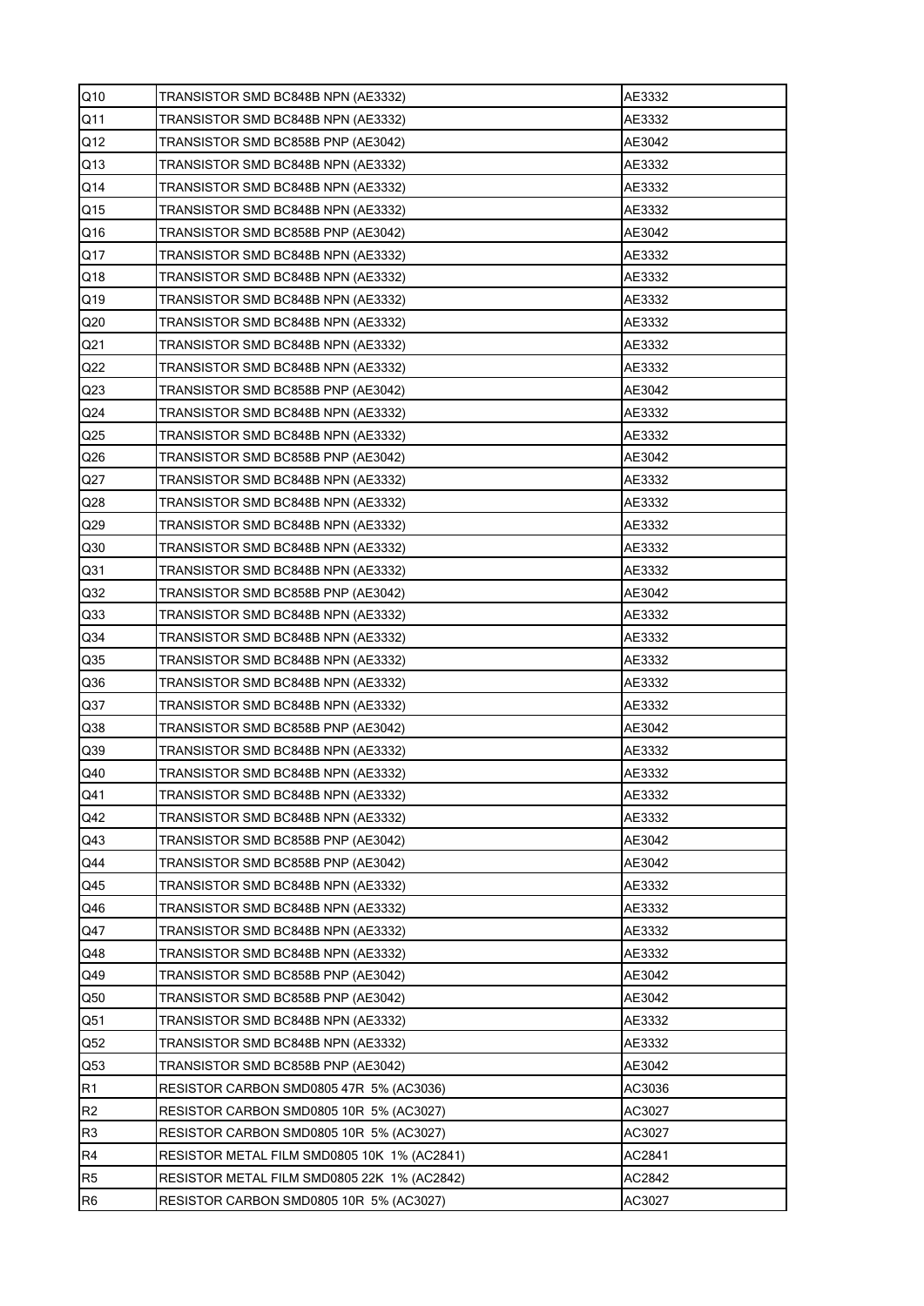| Q10             | TRANSISTOR SMD BC848B NPN (AE3332)          | AE3332 |
|-----------------|---------------------------------------------|--------|
| Q <sub>11</sub> | TRANSISTOR SMD BC848B NPN (AE3332)          | AE3332 |
| Q12             | TRANSISTOR SMD BC858B PNP (AE3042)          | AE3042 |
| Q13             | TRANSISTOR SMD BC848B NPN (AE3332)          | AE3332 |
| Q14             | TRANSISTOR SMD BC848B NPN (AE3332)          | AE3332 |
| Q15             | TRANSISTOR SMD BC848B NPN (AE3332)          | AE3332 |
| Q16             | TRANSISTOR SMD BC858B PNP (AE3042)          | AE3042 |
| Q17             | TRANSISTOR SMD BC848B NPN (AE3332)          | AE3332 |
| Q18             | TRANSISTOR SMD BC848B NPN (AE3332)          | AE3332 |
| Q19             | TRANSISTOR SMD BC848B NPN (AE3332)          | AE3332 |
| Q <sub>20</sub> | TRANSISTOR SMD BC848B NPN (AE3332)          | AE3332 |
| Q <sub>21</sub> | TRANSISTOR SMD BC848B NPN (AE3332)          | AE3332 |
| Q22             | TRANSISTOR SMD BC848B NPN (AE3332)          | AE3332 |
| Q <sub>23</sub> | TRANSISTOR SMD BC858B PNP (AE3042)          | AE3042 |
| Q <sub>24</sub> | TRANSISTOR SMD BC848B NPN (AE3332)          | AE3332 |
| Q <sub>25</sub> | TRANSISTOR SMD BC848B NPN (AE3332)          | AE3332 |
| Q26             | TRANSISTOR SMD BC858B PNP (AE3042)          | AE3042 |
| Q27             | TRANSISTOR SMD BC848B NPN (AE3332)          | AE3332 |
| Q <sub>28</sub> | TRANSISTOR SMD BC848B NPN (AE3332)          | AE3332 |
| Q29             | TRANSISTOR SMD BC848B NPN (AE3332)          | AE3332 |
| Q <sub>30</sub> | TRANSISTOR SMD BC848B NPN (AE3332)          | AE3332 |
| Q31             | TRANSISTOR SMD BC848B NPN (AE3332)          | AE3332 |
| Q <sub>32</sub> | TRANSISTOR SMD BC858B PNP (AE3042)          | AE3042 |
| Q <sub>33</sub> | TRANSISTOR SMD BC848B NPN (AE3332)          | AE3332 |
| Q <sub>34</sub> | TRANSISTOR SMD BC848B NPN (AE3332)          | AE3332 |
| Q35             | TRANSISTOR SMD BC848B NPN (AE3332)          | AE3332 |
| Q36             | TRANSISTOR SMD BC848B NPN (AE3332)          | AE3332 |
| Q <sub>37</sub> | TRANSISTOR SMD BC848B NPN (AE3332)          | AE3332 |
| $\bf Q38$       | TRANSISTOR SMD BC858B PNP (AE3042)          | AE3042 |
| Q39             | TRANSISTOR SMD BC848B NPN (AE3332)          | AE3332 |
| Q40             | TRANSISTOR SMD BC848B NPN (AE3332)          | AE3332 |
| Q41             | TRANSISTOR SMD BC848B NPN (AE3332)          | AE3332 |
| Q42             | TRANSISTOR SMD BC848B NPN (AE3332)          | AE3332 |
| Q43             | TRANSISTOR SMD BC858B PNP (AE3042)          | AE3042 |
| Q44             | TRANSISTOR SMD BC858B PNP (AE3042)          | AE3042 |
| Q45             | TRANSISTOR SMD BC848B NPN (AE3332)          | AE3332 |
| Q46             | TRANSISTOR SMD BC848B NPN (AE3332)          | AE3332 |
| Q47             | TRANSISTOR SMD BC848B NPN (AE3332)          | AE3332 |
| Q48             | TRANSISTOR SMD BC848B NPN (AE3332)          | AE3332 |
| Q49             | TRANSISTOR SMD BC858B PNP (AE3042)          | AE3042 |
| Q50             | TRANSISTOR SMD BC858B PNP (AE3042)          | AE3042 |
| Q51             | TRANSISTOR SMD BC848B NPN (AE3332)          | AE3332 |
| Q52             | TRANSISTOR SMD BC848B NPN (AE3332)          | AE3332 |
| Q53             | TRANSISTOR SMD BC858B PNP (AE3042)          | AE3042 |
| R <sub>1</sub>  | RESISTOR CARBON SMD0805 47R 5% (AC3036)     | AC3036 |
| R <sub>2</sub>  | RESISTOR CARBON SMD0805 10R 5% (AC3027)     | AC3027 |
| R <sub>3</sub>  | RESISTOR CARBON SMD0805 10R 5% (AC3027)     | AC3027 |
| R <sub>4</sub>  | RESISTOR METAL FILM SMD0805 10K 1% (AC2841) | AC2841 |
| R <sub>5</sub>  | RESISTOR METAL FILM SMD0805 22K 1% (AC2842) | AC2842 |
| R <sub>6</sub>  | RESISTOR CARBON SMD0805 10R 5% (AC3027)     | AC3027 |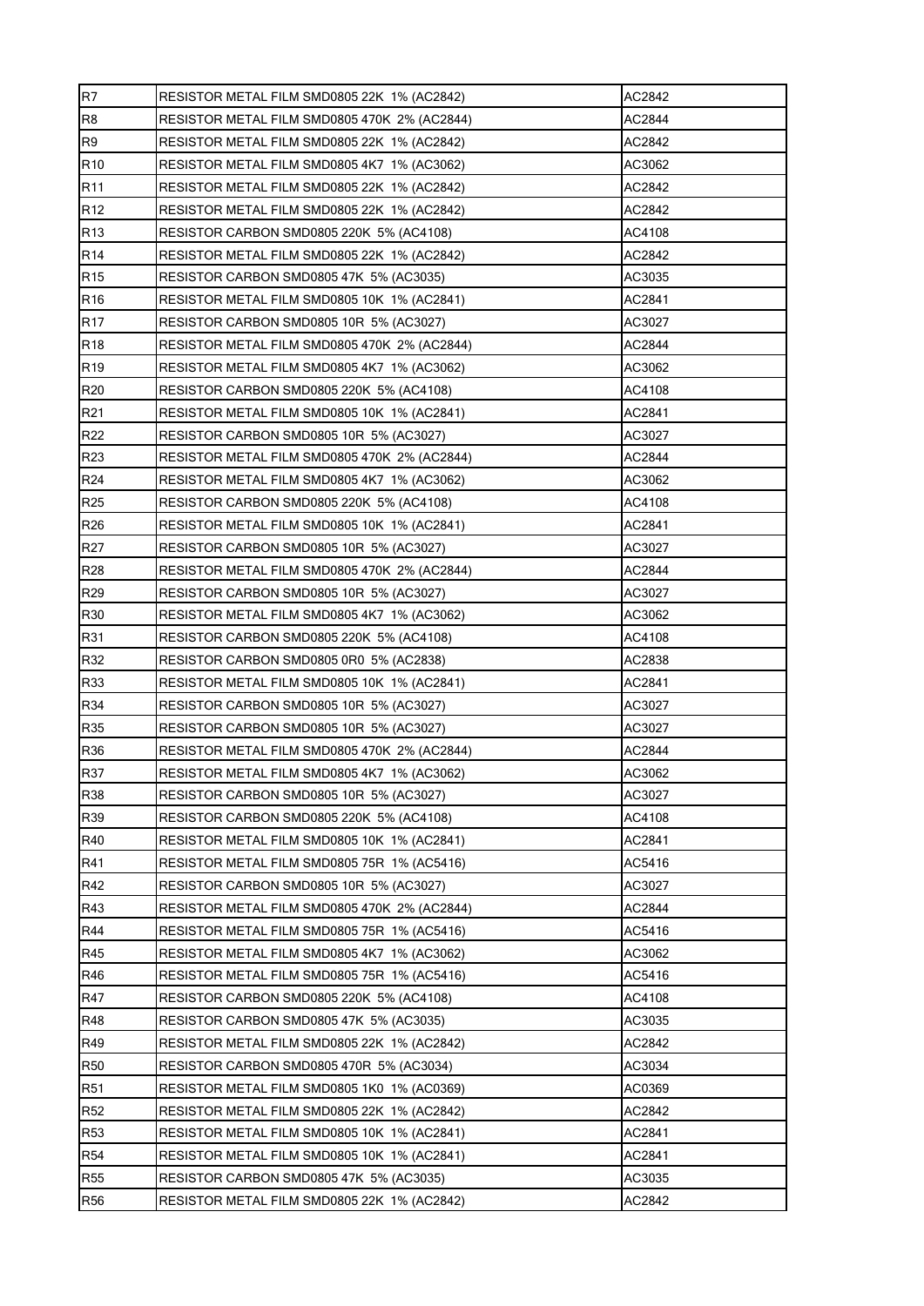| R7              | RESISTOR METAL FILM SMD0805 22K 1% (AC2842)  | AC2842 |
|-----------------|----------------------------------------------|--------|
| R <sub>8</sub>  | RESISTOR METAL FILM SMD0805 470K 2% (AC2844) | AC2844 |
| R <sub>9</sub>  | RESISTOR METAL FILM SMD0805 22K 1% (AC2842)  | AC2842 |
| R <sub>10</sub> | RESISTOR METAL FILM SMD0805 4K7 1% (AC3062)  | AC3062 |
| R <sub>11</sub> | RESISTOR METAL FILM SMD0805 22K 1% (AC2842)  | AC2842 |
| R <sub>12</sub> | RESISTOR METAL FILM SMD0805 22K 1% (AC2842)  | AC2842 |
| R <sub>13</sub> | RESISTOR CARBON SMD0805 220K 5% (AC4108)     | AC4108 |
| R <sub>14</sub> | RESISTOR METAL FILM SMD0805 22K 1% (AC2842)  | AC2842 |
| R <sub>15</sub> | RESISTOR CARBON SMD0805 47K 5% (AC3035)      | AC3035 |
| R <sub>16</sub> | RESISTOR METAL FILM SMD0805 10K 1% (AC2841)  | AC2841 |
| R <sub>17</sub> | RESISTOR CARBON SMD0805 10R 5% (AC3027)      | AC3027 |
| R <sub>18</sub> | RESISTOR METAL FILM SMD0805 470K 2% (AC2844) | AC2844 |
| R <sub>19</sub> | RESISTOR METAL FILM SMD0805 4K7 1% (AC3062)  | AC3062 |
| R <sub>20</sub> | RESISTOR CARBON SMD0805 220K 5% (AC4108)     | AC4108 |
| R21             | RESISTOR METAL FILM SMD0805 10K 1% (AC2841)  | AC2841 |
| R22             | RESISTOR CARBON SMD0805 10R 5% (AC3027)      | AC3027 |
| R <sub>23</sub> | RESISTOR METAL FILM SMD0805 470K 2% (AC2844) | AC2844 |
| R24             | RESISTOR METAL FILM SMD0805 4K7 1% (AC3062)  | AC3062 |
| R <sub>25</sub> | RESISTOR CARBON SMD0805 220K 5% (AC4108)     | AC4108 |
| R <sub>26</sub> | RESISTOR METAL FILM SMD0805 10K 1% (AC2841)  | AC2841 |
| R <sub>27</sub> | RESISTOR CARBON SMD0805 10R 5% (AC3027)      | AC3027 |
| R28             | RESISTOR METAL FILM SMD0805 470K 2% (AC2844) | AC2844 |
| R29             | RESISTOR CARBON SMD0805 10R 5% (AC3027)      | AC3027 |
| R30             | RESISTOR METAL FILM SMD0805 4K7 1% (AC3062)  | AC3062 |
| R31             | RESISTOR CARBON SMD0805 220K 5% (AC4108)     | AC4108 |
| R32             | RESISTOR CARBON SMD0805 0R0 5% (AC2838)      | AC2838 |
| R33             | RESISTOR METAL FILM SMD0805 10K 1% (AC2841)  | AC2841 |
| R34             | RESISTOR CARBON SMD0805 10R 5% (AC3027)      | AC3027 |
| R35             | RESISTOR CARBON SMD0805 10R 5% (AC3027)      | AC3027 |
| R36             | RESISTOR METAL FILM SMD0805 470K 2% (AC2844) | AC2844 |
| R37             | RESISTOR METAL FILM SMD0805 4K7 1% (AC3062)  | AC3062 |
| R38             | RESISTOR CARBON SMD0805 10R 5% (AC3027)      | AC3027 |
| R39             | RESISTOR CARBON SMD0805 220K 5% (AC4108)     | AC4108 |
| R40             | RESISTOR METAL FILM SMD0805 10K 1% (AC2841)  | AC2841 |
| R41             | RESISTOR METAL FILM SMD0805 75R 1% (AC5416)  | AC5416 |
| R42             | RESISTOR CARBON SMD0805 10R 5% (AC3027)      | AC3027 |
| R43             | RESISTOR METAL FILM SMD0805 470K 2% (AC2844) | AC2844 |
| R44             | RESISTOR METAL FILM SMD0805 75R 1% (AC5416)  | AC5416 |
| R45             | RESISTOR METAL FILM SMD0805 4K7 1% (AC3062)  | AC3062 |
| R46             | RESISTOR METAL FILM SMD0805 75R 1% (AC5416)  | AC5416 |
| <b>R47</b>      | RESISTOR CARBON SMD0805 220K 5% (AC4108)     | AC4108 |
| R48             | RESISTOR CARBON SMD0805 47K 5% (AC3035)      | AC3035 |
| R49             | RESISTOR METAL FILM SMD0805 22K 1% (AC2842)  | AC2842 |
| <b>R50</b>      | RESISTOR CARBON SMD0805 470R 5% (AC3034)     | AC3034 |
| <b>R51</b>      | RESISTOR METAL FILM SMD0805 1K0 1% (AC0369)  | AC0369 |
| <b>R52</b>      | RESISTOR METAL FILM SMD0805 22K 1% (AC2842)  | AC2842 |
| R <sub>53</sub> | RESISTOR METAL FILM SMD0805 10K 1% (AC2841)  | AC2841 |
| <b>R54</b>      | RESISTOR METAL FILM SMD0805 10K 1% (AC2841)  | AC2841 |
| <b>R55</b>      | RESISTOR CARBON SMD0805 47K 5% (AC3035)      | AC3035 |
| <b>R56</b>      | RESISTOR METAL FILM SMD0805 22K 1% (AC2842)  | AC2842 |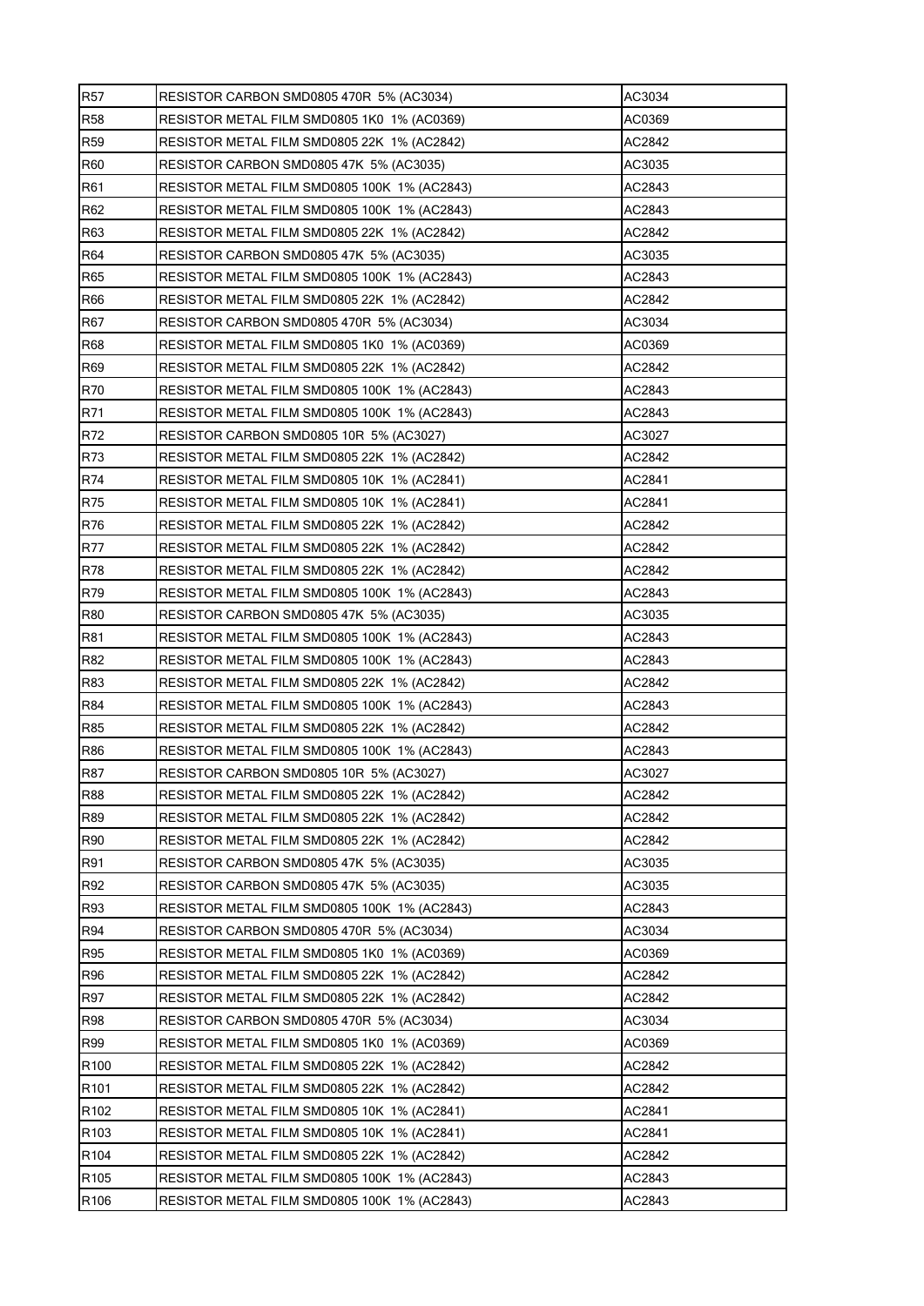| <b>R57</b>       | RESISTOR CARBON SMD0805 470R 5% (AC3034)     | AC3034 |
|------------------|----------------------------------------------|--------|
| <b>R58</b>       | RESISTOR METAL FILM SMD0805 1K0 1% (AC0369)  | AC0369 |
| R <sub>59</sub>  | RESISTOR METAL FILM SMD0805 22K 1% (AC2842)  | AC2842 |
| <b>R60</b>       | RESISTOR CARBON SMD0805 47K 5% (AC3035)      | AC3035 |
| R <sub>61</sub>  | RESISTOR METAL FILM SMD0805 100K 1% (AC2843) | AC2843 |
| R <sub>62</sub>  | RESISTOR METAL FILM SMD0805 100K_1% (AC2843) | AC2843 |
| R63              | RESISTOR METAL FILM SMD0805 22K 1% (AC2842)  | AC2842 |
| R64              | RESISTOR CARBON SMD0805 47K 5% (AC3035)      | AC3035 |
| R65              | RESISTOR METAL FILM SMD0805 100K 1% (AC2843) | AC2843 |
| R66              | RESISTOR METAL FILM SMD0805 22K 1% (AC2842)  | AC2842 |
| R67              | RESISTOR CARBON SMD0805 470R 5% (AC3034)     | AC3034 |
| <b>R68</b>       | RESISTOR METAL FILM SMD0805 1K0 1% (AC0369)  | AC0369 |
| R69              | RESISTOR METAL FILM SMD0805 22K 1% (AC2842)  | AC2842 |
| R70              | RESISTOR METAL FILM SMD0805 100K 1% (AC2843) | AC2843 |
| R71              | RESISTOR METAL FILM SMD0805 100K 1% (AC2843) | AC2843 |
| R72              | RESISTOR CARBON SMD0805 10R 5% (AC3027)      | AC3027 |
| R73              | RESISTOR METAL FILM SMD0805 22K 1% (AC2842)  | AC2842 |
| R74              | RESISTOR METAL FILM SMD0805 10K 1% (AC2841)  | AC2841 |
| R75              | RESISTOR METAL FILM SMD0805 10K 1% (AC2841)  | AC2841 |
| R76              | RESISTOR METAL FILM SMD0805 22K 1% (AC2842)  | AC2842 |
| R77              | RESISTOR METAL FILM SMD0805 22K 1% (AC2842)  | AC2842 |
| R78              | RESISTOR METAL FILM SMD0805 22K 1% (AC2842)  | AC2842 |
| R79              | RESISTOR METAL FILM SMD0805 100K 1% (AC2843) | AC2843 |
| <b>R80</b>       | RESISTOR CARBON SMD0805 47K 5% (AC3035)      | AC3035 |
| R81              | RESISTOR METAL FILM SMD0805 100K 1% (AC2843) | AC2843 |
| R82              | RESISTOR METAL FILM SMD0805 100K 1% (AC2843) | AC2843 |
| R83              | RESISTOR METAL FILM SMD0805 22K 1% (AC2842)  | AC2842 |
| R84              | RESISTOR METAL FILM SMD0805 100K 1% (AC2843) | AC2843 |
| R85              | RESISTOR METAL FILM SMD0805 22K 1% (AC2842)  | AC2842 |
| R86              | RESISTOR METAL FILM SMD0805 100K 1% (AC2843) | AC2843 |
| <b>R87</b>       | RESISTOR CARBON SMD0805 10R 5% (AC3027)      | AC3027 |
| <b>R88</b>       | RESISTOR METAL FILM SMD0805 22K 1% (AC2842)  | AC2842 |
| <b>R89</b>       | RESISTOR METAL FILM SMD0805 22K 1% (AC2842)  | AC2842 |
| R90              | RESISTOR METAL FILM SMD0805 22K 1% (AC2842)  | AC2842 |
| R91              | RESISTOR CARBON SMD0805 47K 5% (AC3035)      | AC3035 |
| R92              | RESISTOR CARBON SMD0805 47K 5% (AC3035)      | AC3035 |
| R93              | RESISTOR METAL FILM SMD0805 100K 1% (AC2843) | AC2843 |
| R94              | RESISTOR CARBON SMD0805 470R 5% (AC3034)     | AC3034 |
| R95              | RESISTOR METAL FILM SMD0805 1K0 1% (AC0369)  | AC0369 |
| R96              | RESISTOR METAL FILM SMD0805 22K 1% (AC2842)  | AC2842 |
| R97              | RESISTOR METAL FILM SMD0805 22K 1% (AC2842)  | AC2842 |
| <b>R98</b>       | RESISTOR CARBON SMD0805 470R 5% (AC3034)     | AC3034 |
| R99              | RESISTOR METAL FILM SMD0805 1K0 1% (AC0369)  | AC0369 |
| R <sub>100</sub> | RESISTOR METAL FILM SMD0805 22K 1% (AC2842)  | AC2842 |
| R <sub>101</sub> | RESISTOR METAL FILM SMD0805 22K 1% (AC2842)  | AC2842 |
| R <sub>102</sub> | RESISTOR METAL FILM SMD0805 10K 1% (AC2841)  | AC2841 |
| R <sub>103</sub> | RESISTOR METAL FILM SMD0805 10K 1% (AC2841)  | AC2841 |
| R <sub>104</sub> | RESISTOR METAL FILM SMD0805 22K 1% (AC2842)  | AC2842 |
| R <sub>105</sub> | RESISTOR METAL FILM SMD0805 100K 1% (AC2843) | AC2843 |
| R <sub>106</sub> | RESISTOR METAL FILM SMD0805 100K 1% (AC2843) | AC2843 |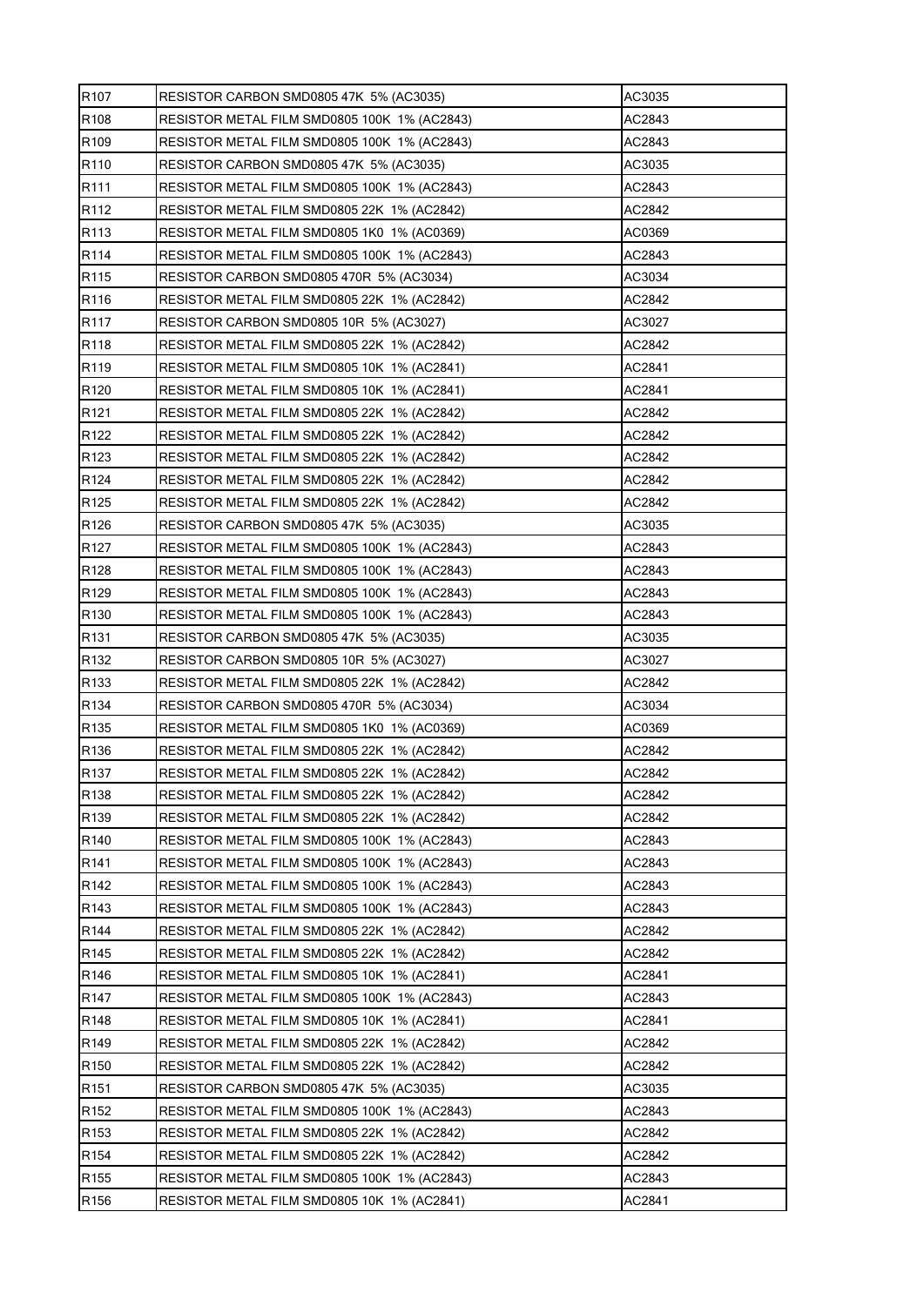| R <sub>107</sub> | RESISTOR CARBON SMD0805 47K_5% (AC3035)      | AC3035 |
|------------------|----------------------------------------------|--------|
| R108             | RESISTOR METAL FILM SMD0805 100K 1% (AC2843) | AC2843 |
| R <sub>109</sub> | RESISTOR METAL FILM SMD0805 100K 1% (AC2843) | AC2843 |
| R <sub>110</sub> | RESISTOR CARBON SMD0805 47K 5% (AC3035)      | AC3035 |
| R <sub>111</sub> | RESISTOR METAL FILM SMD0805 100K 1% (AC2843) | AC2843 |
| R <sub>112</sub> | RESISTOR METAL FILM SMD0805 22K 1% (AC2842)  | AC2842 |
| R113             | RESISTOR METAL FILM SMD0805 1K0 1% (AC0369)  | AC0369 |
| R114             | RESISTOR METAL FILM SMD0805 100K 1% (AC2843) | AC2843 |
| R <sub>115</sub> | RESISTOR CARBON SMD0805 470R 5% (AC3034)     | AC3034 |
| R <sub>116</sub> | RESISTOR METAL FILM SMD0805 22K 1% (AC2842)  | AC2842 |
| R <sub>117</sub> | RESISTOR CARBON SMD0805 10R 5% (AC3027)      | AC3027 |
| R <sub>118</sub> | RESISTOR METAL FILM SMD0805 22K 1% (AC2842)  | AC2842 |
| R <sub>119</sub> | RESISTOR METAL FILM SMD0805 10K 1% (AC2841)  | AC2841 |
| R120             | RESISTOR METAL FILM SMD0805 10K 1% (AC2841)  | AC2841 |
| R <sub>121</sub> | RESISTOR METAL FILM SMD0805 22K 1% (AC2842)  | AC2842 |
| R <sub>122</sub> | RESISTOR METAL FILM SMD0805 22K 1% (AC2842)  | AC2842 |
| R <sub>123</sub> | RESISTOR METAL FILM SMD0805 22K 1% (AC2842)  | AC2842 |
| R <sub>124</sub> | RESISTOR METAL FILM SMD0805 22K 1% (AC2842)  | AC2842 |
| R <sub>125</sub> | RESISTOR METAL FILM SMD0805 22K 1% (AC2842)  | AC2842 |
| R <sub>126</sub> | RESISTOR CARBON SMD0805 47K 5% (AC3035)      | AC3035 |
| R <sub>127</sub> | RESISTOR METAL FILM SMD0805 100K 1% (AC2843) | AC2843 |
| R <sub>128</sub> | RESISTOR METAL FILM SMD0805 100K 1% (AC2843) | AC2843 |
| R <sub>129</sub> | RESISTOR METAL FILM SMD0805 100K 1% (AC2843) | AC2843 |
| R <sub>130</sub> | RESISTOR METAL FILM SMD0805 100K 1% (AC2843) | AC2843 |
| R <sub>131</sub> | RESISTOR CARBON SMD0805 47K 5% (AC3035)      | AC3035 |
| R <sub>132</sub> | RESISTOR CARBON SMD0805 10R 5% (AC3027)      | AC3027 |
| R <sub>133</sub> | RESISTOR METAL FILM SMD0805 22K 1% (AC2842)  | AC2842 |
| R <sub>134</sub> | RESISTOR CARBON SMD0805 470R 5% (AC3034)     | AC3034 |
| R <sub>135</sub> | RESISTOR METAL FILM SMD0805 1K0 1% (AC0369)  | AC0369 |
| R <sub>136</sub> | RESISTOR METAL FILM SMD0805 22K 1% (AC2842)  | AC2842 |
| R <sub>137</sub> | RESISTOR METAL FILM SMD0805 22K 1% (AC2842)  | AC2842 |
| R138             | RESISTOR METAL FILM SMD0805 22K 1% (AC2842)  | AC2842 |
| R139             | RESISTOR METAL FILM SMD0805 22K 1% (AC2842)  | AC2842 |
| R <sub>140</sub> | RESISTOR METAL FILM SMD0805 100K 1% (AC2843) | AC2843 |
| R <sub>141</sub> | RESISTOR METAL FILM SMD0805 100K 1% (AC2843) | AC2843 |
| R <sub>142</sub> | RESISTOR METAL FILM SMD0805 100K 1% (AC2843) | AC2843 |
| R <sub>143</sub> | RESISTOR METAL FILM SMD0805 100K 1% (AC2843) | AC2843 |
| R144             | RESISTOR METAL FILM SMD0805 22K 1% (AC2842)  | AC2842 |
| R145             | RESISTOR METAL FILM SMD0805 22K 1% (AC2842)  | AC2842 |
| R146             | RESISTOR METAL FILM SMD0805 10K 1% (AC2841)  | AC2841 |
| R <sub>147</sub> | RESISTOR METAL FILM SMD0805 100K 1% (AC2843) | AC2843 |
| R <sub>148</sub> | RESISTOR METAL FILM SMD0805 10K 1% (AC2841)  | AC2841 |
| R149             | RESISTOR METAL FILM SMD0805 22K 1% (AC2842)  | AC2842 |
| R <sub>150</sub> | RESISTOR METAL FILM SMD0805 22K 1% (AC2842)  | AC2842 |
| R <sub>151</sub> | RESISTOR CARBON SMD0805 47K 5% (AC3035)      | AC3035 |
| R <sub>152</sub> | RESISTOR METAL FILM SMD0805 100K 1% (AC2843) | AC2843 |
| R <sub>153</sub> | RESISTOR METAL FILM SMD0805 22K 1% (AC2842)  | AC2842 |
| R <sub>154</sub> | RESISTOR METAL FILM SMD0805 22K 1% (AC2842)  | AC2842 |
| R <sub>155</sub> | RESISTOR METAL FILM SMD0805 100K 1% (AC2843) | AC2843 |
| R <sub>156</sub> | RESISTOR METAL FILM SMD0805 10K 1% (AC2841)  | AC2841 |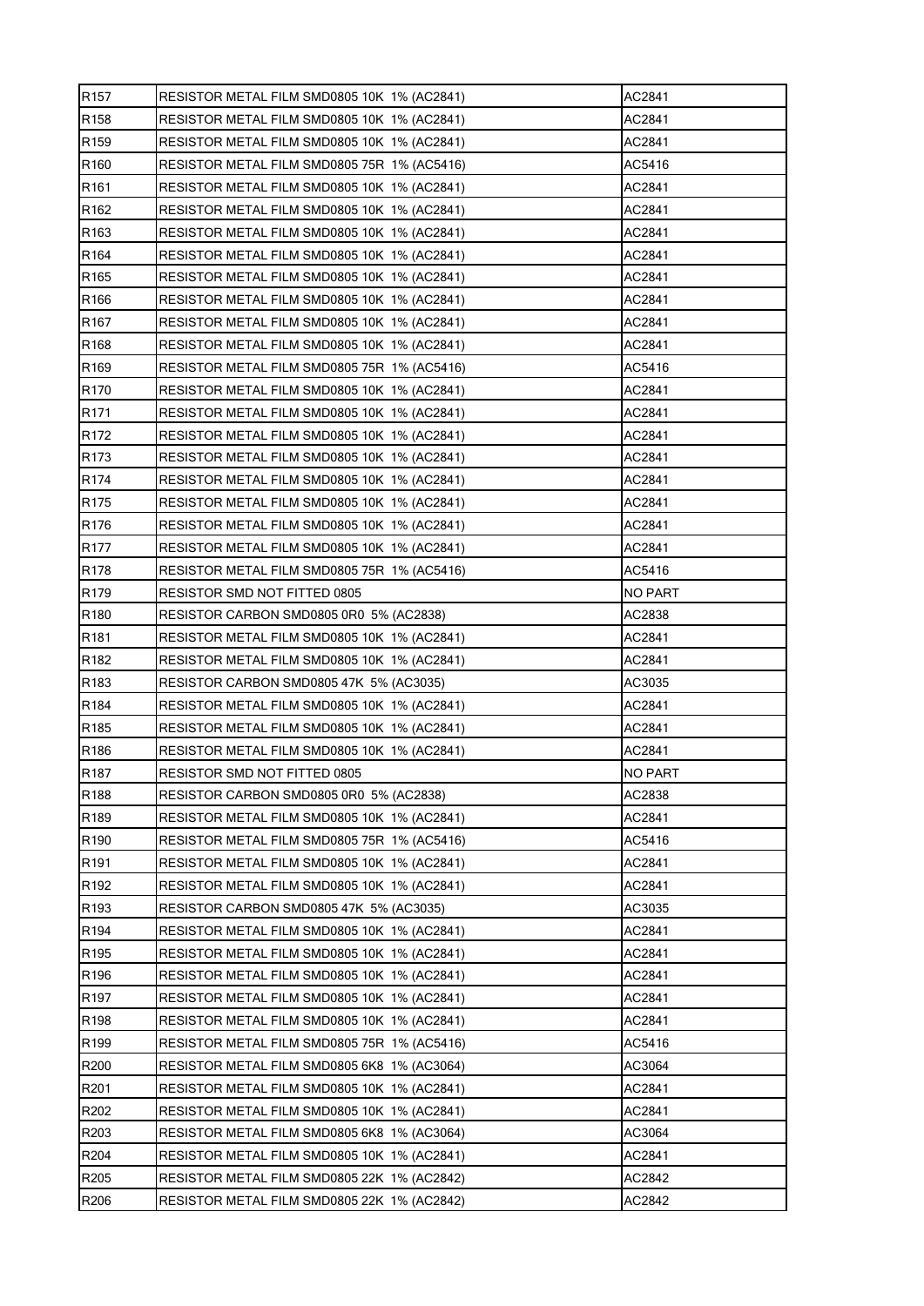| R <sub>157</sub> | RESISTOR METAL FILM SMD0805 10K 1% (AC2841) | AC2841  |
|------------------|---------------------------------------------|---------|
| R <sub>158</sub> | RESISTOR METAL FILM SMD0805 10K 1% (AC2841) | AC2841  |
| R <sub>159</sub> | RESISTOR METAL FILM SMD0805 10K 1% (AC2841) | AC2841  |
| R <sub>160</sub> | RESISTOR METAL FILM SMD0805 75R 1% (AC5416) | AC5416  |
| R <sub>161</sub> | RESISTOR METAL FILM SMD0805 10K 1% (AC2841) | AC2841  |
| R <sub>162</sub> | RESISTOR METAL FILM SMD0805 10K 1% (AC2841) | AC2841  |
| R <sub>163</sub> | RESISTOR METAL FILM SMD0805 10K 1% (AC2841) | AC2841  |
| R164             | RESISTOR METAL FILM SMD0805 10K 1% (AC2841) | AC2841  |
| R <sub>165</sub> | RESISTOR METAL FILM SMD0805 10K 1% (AC2841) | AC2841  |
| R166             | RESISTOR METAL FILM SMD0805 10K 1% (AC2841) | AC2841  |
| R <sub>167</sub> | RESISTOR METAL FILM SMD0805 10K 1% (AC2841) | AC2841  |
| R168             | RESISTOR METAL FILM SMD0805 10K 1% (AC2841) | AC2841  |
| R <sub>169</sub> | RESISTOR METAL FILM SMD0805 75R 1% (AC5416) | AC5416  |
| R <sub>170</sub> | RESISTOR METAL FILM SMD0805 10K 1% (AC2841) | AC2841  |
| R <sub>171</sub> | RESISTOR METAL FILM SMD0805 10K 1% (AC2841) | AC2841  |
| R <sub>172</sub> | RESISTOR METAL FILM SMD0805 10K 1% (AC2841) | AC2841  |
| R173             | RESISTOR METAL FILM SMD0805 10K 1% (AC2841) | AC2841  |
| R174             | RESISTOR METAL FILM SMD0805 10K 1% (AC2841) | AC2841  |
| R <sub>175</sub> | RESISTOR METAL FILM SMD0805 10K 1% (AC2841) | AC2841  |
| R <sub>176</sub> | RESISTOR METAL FILM SMD0805 10K 1% (AC2841) | AC2841  |
| R <sub>177</sub> | RESISTOR METAL FILM SMD0805 10K 1% (AC2841) | AC2841  |
| R <sub>178</sub> | RESISTOR METAL FILM SMD0805 75R 1% (AC5416) | AC5416  |
| R <sub>179</sub> | RESISTOR SMD NOT FITTED 0805                | NO PART |
| R <sub>180</sub> | RESISTOR CARBON SMD0805 0R0 5% (AC2838)     | AC2838  |
| R <sub>181</sub> | RESISTOR METAL FILM SMD0805 10K 1% (AC2841) | AC2841  |
| R182             | RESISTOR METAL FILM SMD0805 10K 1% (AC2841) | AC2841  |
| R183             | RESISTOR CARBON SMD0805 47K 5% (AC3035)     | AC3035  |
| R <sub>184</sub> | RESISTOR METAL FILM SMD0805 10K 1% (AC2841) | AC2841  |
| R <sub>185</sub> | RESISTOR METAL FILM SMD0805 10K 1% (AC2841) | AC2841  |
| R <sub>186</sub> | RESISTOR METAL FILM SMD0805 10K 1% (AC2841) | AC2841  |
| R <sub>187</sub> | RESISTOR SMD NOT FITTED 0805                | NO PART |
| R188             | RESISTOR CARBON SMD0805 0R0 5% (AC2838)     | AC2838  |
| R189             | RESISTOR METAL FILM SMD0805 10K 1% (AC2841) | AC2841  |
| R <sub>190</sub> | RESISTOR METAL FILM SMD0805 75R 1% (AC5416) | AC5416  |
| R <sub>191</sub> | RESISTOR METAL FILM SMD0805 10K 1% (AC2841) | AC2841  |
| R <sub>192</sub> | RESISTOR METAL FILM SMD0805 10K 1% (AC2841) | AC2841  |
| R193             | RESISTOR CARBON SMD0805 47K 5% (AC3035)     | AC3035  |
| R194             | RESISTOR METAL FILM SMD0805 10K 1% (AC2841) | AC2841  |
| R195             | RESISTOR METAL FILM SMD0805 10K 1% (AC2841) | AC2841  |
| R196             | RESISTOR METAL FILM SMD0805 10K 1% (AC2841) | AC2841  |
| R <sub>197</sub> | RESISTOR METAL FILM SMD0805 10K 1% (AC2841) | AC2841  |
| R <sub>198</sub> | RESISTOR METAL FILM SMD0805 10K 1% (AC2841) | AC2841  |
| R199             | RESISTOR METAL FILM SMD0805 75R 1% (AC5416) | AC5416  |
| R200             | RESISTOR METAL FILM SMD0805 6K8 1% (AC3064) | AC3064  |
| R201             | RESISTOR METAL FILM SMD0805 10K 1% (AC2841) | AC2841  |
| R202             | RESISTOR METAL FILM SMD0805 10K 1% (AC2841) | AC2841  |
| R203             | RESISTOR METAL FILM SMD0805 6K8 1% (AC3064) | AC3064  |
| R204             | RESISTOR METAL FILM SMD0805 10K 1% (AC2841) | AC2841  |
| R205             | RESISTOR METAL FILM SMD0805 22K 1% (AC2842) | AC2842  |
| R206             | RESISTOR METAL FILM SMD0805 22K 1% (AC2842) | AC2842  |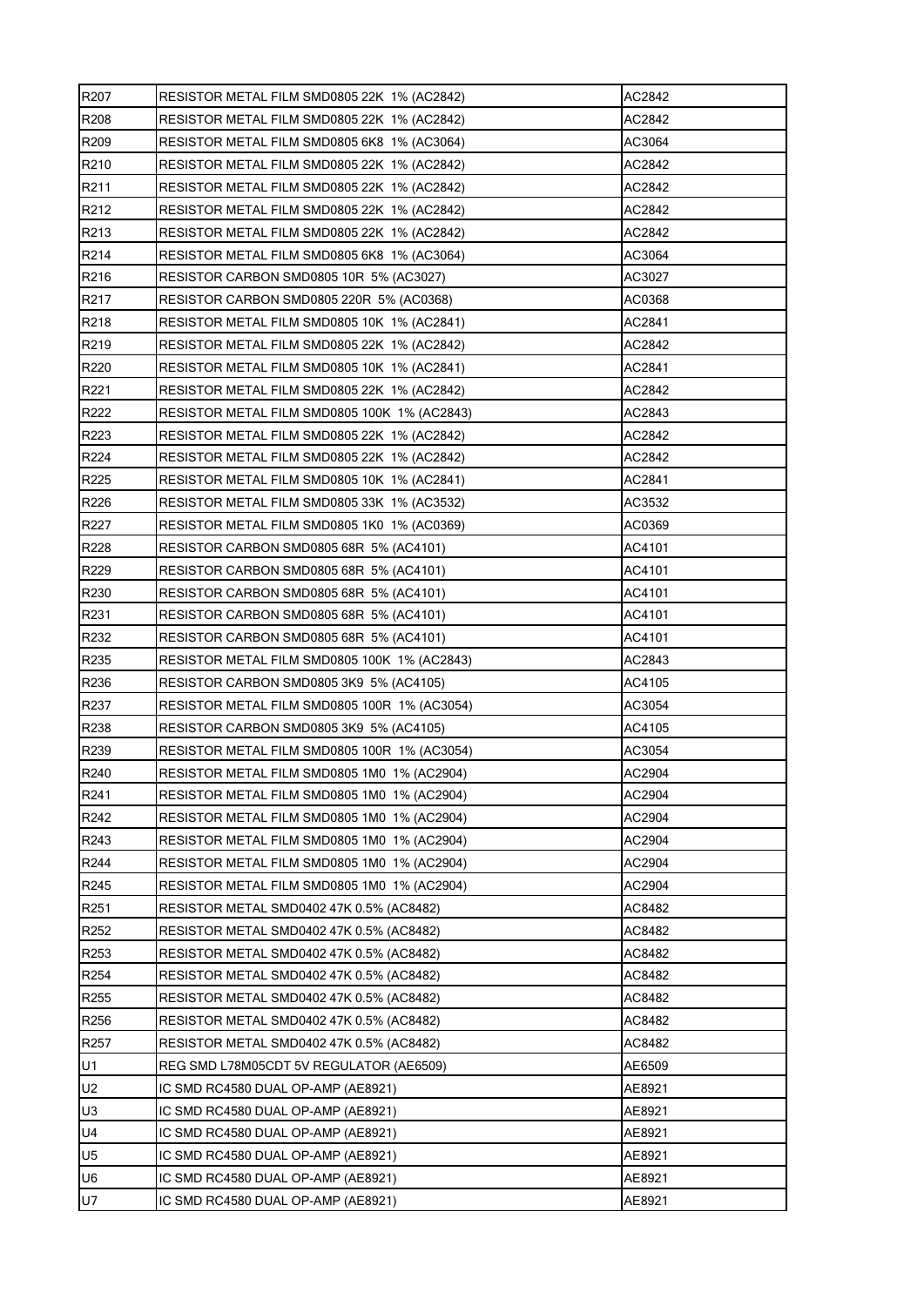| R207              | RESISTOR METAL FILM SMD0805 22K 1% (AC2842)  | AC2842 |
|-------------------|----------------------------------------------|--------|
| R <sub>208</sub>  | RESISTOR METAL FILM SMD0805 22K 1% (AC2842)  | AC2842 |
| R <sub>209</sub>  | RESISTOR METAL FILM SMD0805 6K8 1% (AC3064)  | AC3064 |
| R210              | RESISTOR METAL FILM SMD0805 22K 1% (AC2842)  | AC2842 |
| R211              | RESISTOR METAL FILM SMD0805 22K 1% (AC2842)  | AC2842 |
| R <sub>2</sub> 12 | RESISTOR METAL FILM SMD0805 22K 1% (AC2842)  | AC2842 |
| R213              | RESISTOR METAL FILM SMD0805 22K 1% (AC2842)  | AC2842 |
| R214              | RESISTOR METAL FILM SMD0805 6K8 1% (AC3064)  | AC3064 |
| R216              | RESISTOR CARBON SMD0805 10R 5% (AC3027)      | AC3027 |
| R217              | RESISTOR CARBON SMD0805 220R 5% (AC0368)     | AC0368 |
| R <sub>218</sub>  | RESISTOR METAL FILM SMD0805 10K 1% (AC2841)  | AC2841 |
| R219              | RESISTOR METAL FILM SMD0805 22K 1% (AC2842)  | AC2842 |
| R220              | RESISTOR METAL FILM SMD0805 10K 1% (AC2841)  | AC2841 |
| R221              | RESISTOR METAL FILM SMD0805 22K 1% (AC2842)  | AC2842 |
| R222              | RESISTOR METAL FILM SMD0805 100K 1% (AC2843) | AC2843 |
| R223              | RESISTOR METAL FILM SMD0805 22K 1% (AC2842)  | AC2842 |
| R224              | RESISTOR METAL FILM SMD0805 22K 1% (AC2842)  | AC2842 |
| R225              | RESISTOR METAL FILM SMD0805 10K 1% (AC2841)  | AC2841 |
| R226              | RESISTOR METAL FILM SMD0805 33K 1% (AC3532)  | AC3532 |
| R227              | RESISTOR METAL FILM SMD0805 1K0 1% (AC0369)  | AC0369 |
| R228              | RESISTOR CARBON SMD0805 68R 5% (AC4101)      | AC4101 |
| R229              | RESISTOR CARBON SMD0805 68R 5% (AC4101)      | AC4101 |
| R230              | RESISTOR CARBON SMD0805 68R 5% (AC4101)      | AC4101 |
| R231              | RESISTOR CARBON SMD0805 68R 5% (AC4101)      | AC4101 |
| R232              | RESISTOR CARBON SMD0805 68R 5% (AC4101)      | AC4101 |
| R235              | RESISTOR METAL FILM SMD0805 100K 1% (AC2843) | AC2843 |
| R236              | RESISTOR CARBON SMD0805 3K9 5% (AC4105)      | AC4105 |
| R237              | RESISTOR METAL FILM SMD0805 100R 1% (AC3054) | AC3054 |
| R238              | RESISTOR CARBON SMD0805 3K9 5% (AC4105)      | AC4105 |
| R239              | RESISTOR METAL FILM SMD0805 100R 1% (AC3054) | AC3054 |
| R240              | RESISTOR METAL FILM SMD0805 1M0 1% (AC2904)  | AC2904 |
| R241              | RESISTOR METAL FILM SMD0805 1M0 1% (AC2904)  | AC2904 |
| R242              | RESISTOR METAL FILM SMD0805 1M0 1% (AC2904)  | AC2904 |
| R243              | RESISTOR METAL FILM SMD0805 1M0 1% (AC2904)  | AC2904 |
| R244              | RESISTOR METAL FILM SMD0805 1M0 1% (AC2904)  | AC2904 |
| R245              | RESISTOR METAL FILM SMD0805 1M0 1% (AC2904)  | AC2904 |
| R <sub>251</sub>  | RESISTOR METAL SMD0402 47K 0.5% (AC8482)     | AC8482 |
| R252              | RESISTOR METAL SMD0402 47K 0.5% (AC8482)     | AC8482 |
| R253              | RESISTOR METAL SMD0402 47K 0.5% (AC8482)     | AC8482 |
| R <sub>254</sub>  | RESISTOR METAL SMD0402 47K 0.5% (AC8482)     | AC8482 |
| R <sub>255</sub>  | RESISTOR METAL SMD0402 47K 0.5% (AC8482)     | AC8482 |
| R256              | RESISTOR METAL SMD0402 47K 0.5% (AC8482)     | AC8482 |
| R <sub>257</sub>  | RESISTOR METAL SMD0402 47K 0.5% (AC8482)     | AC8482 |
| U1                | REG SMD L78M05CDT 5V REGULATOR (AE6509)      | AE6509 |
| U <sub>2</sub>    | IC SMD RC4580 DUAL OP-AMP (AE8921)           | AE8921 |
| U3                | IC SMD RC4580 DUAL OP-AMP (AE8921)           | AE8921 |
| U4                | IC SMD RC4580 DUAL OP-AMP (AE8921)           | AE8921 |
| U <sub>5</sub>    | IC SMD RC4580 DUAL OP-AMP (AE8921)           | AE8921 |
| U6                | IC SMD RC4580 DUAL OP-AMP (AE8921)           | AE8921 |
| U7                | IC SMD RC4580 DUAL OP-AMP (AE8921)           | AE8921 |